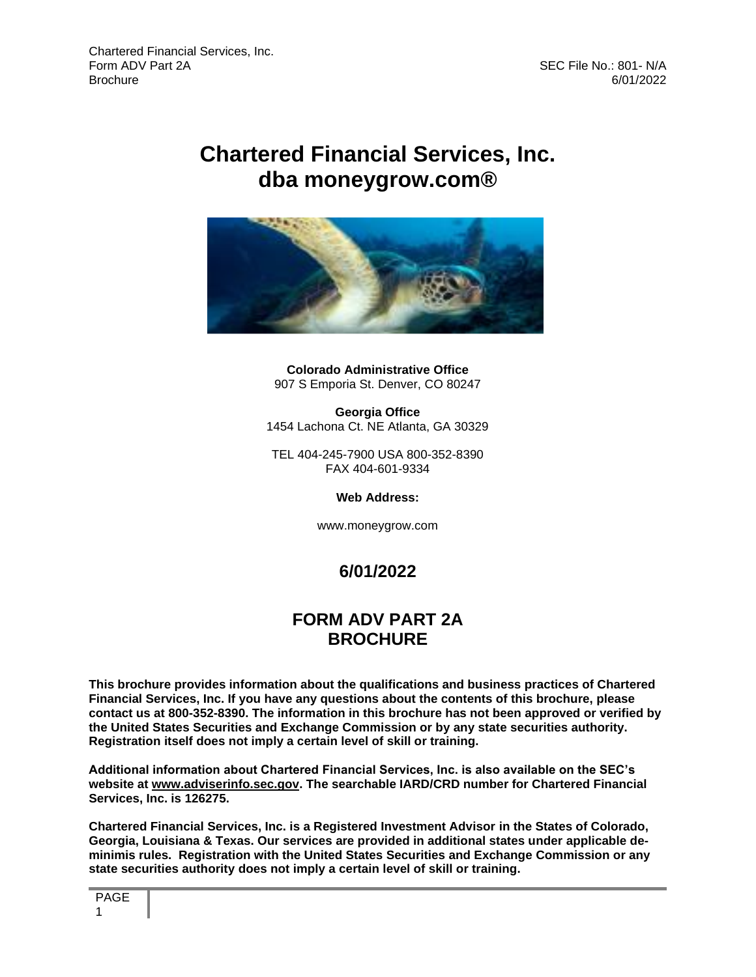# **Chartered Financial Services, Inc. dba moneygrow.com®**



**Colorado Administrative Office** 907 S Emporia St. Denver, CO 80247

**Georgia Office** 1454 Lachona Ct. NE Atlanta, GA 30329

TEL 404-245-7900 USA 800-352-8390 FAX 404-601-9334

**Web Address:**

www.moneygrow.com

# **6/01/2022**

## **FORM ADV PART 2A BROCHURE**

**This brochure provides information about the qualifications and business practices of Chartered Financial Services, Inc. If you have any questions about the contents of this brochure, please contact us at 800-352-8390. The information in this brochure has not been approved or verified by the United States Securities and Exchange Commission or by any state securities authority. Registration itself does not imply a certain level of skill or training.** 

**Additional information about Chartered Financial Services, Inc. is also available on the SEC's website at [www.adviserinfo.sec.gov.](http://www.adviserinfo.sec.gov/) The searchable IARD/CRD number for Chartered Financial Services, Inc. is 126275.**

**Chartered Financial Services, Inc. is a Registered Investment Advisor in the States of Colorado, Georgia, Louisiana & Texas. Our services are provided in additional states under applicable deminimis rules. Registration with the United States Securities and Exchange Commission or any state securities authority does not imply a certain level of skill or training.**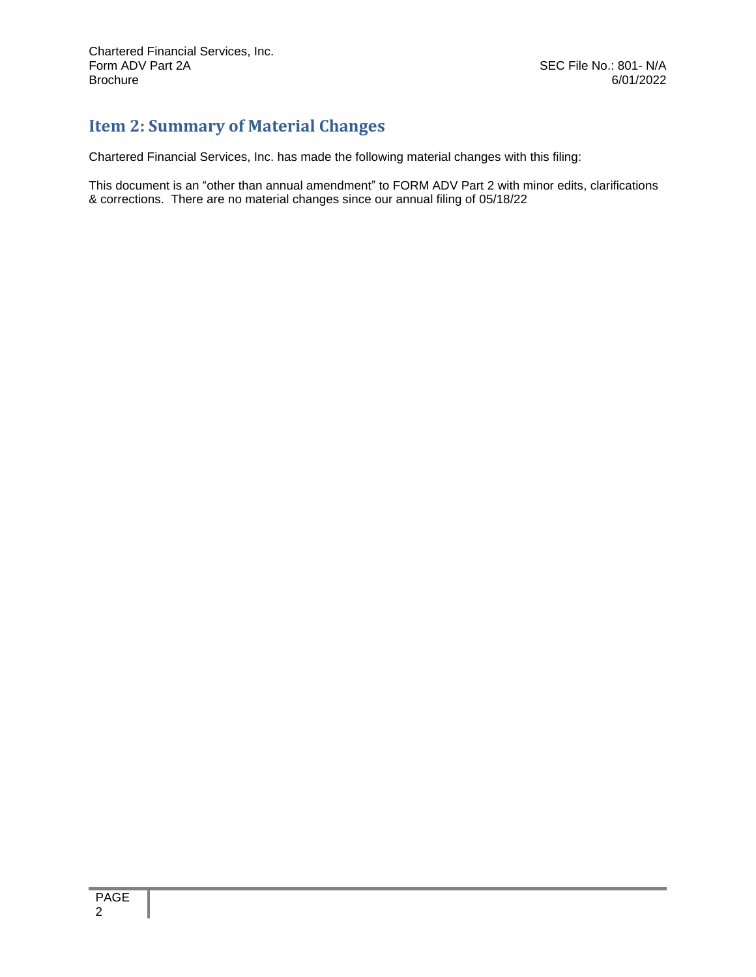# <span id="page-1-0"></span>**Item 2: Summary of Material Changes**

Chartered Financial Services, Inc. has made the following material changes with this filing:

This document is an "other than annual amendment" to FORM ADV Part 2 with minor edits, clarifications & corrections. There are no material changes since our annual filing of 05/18/22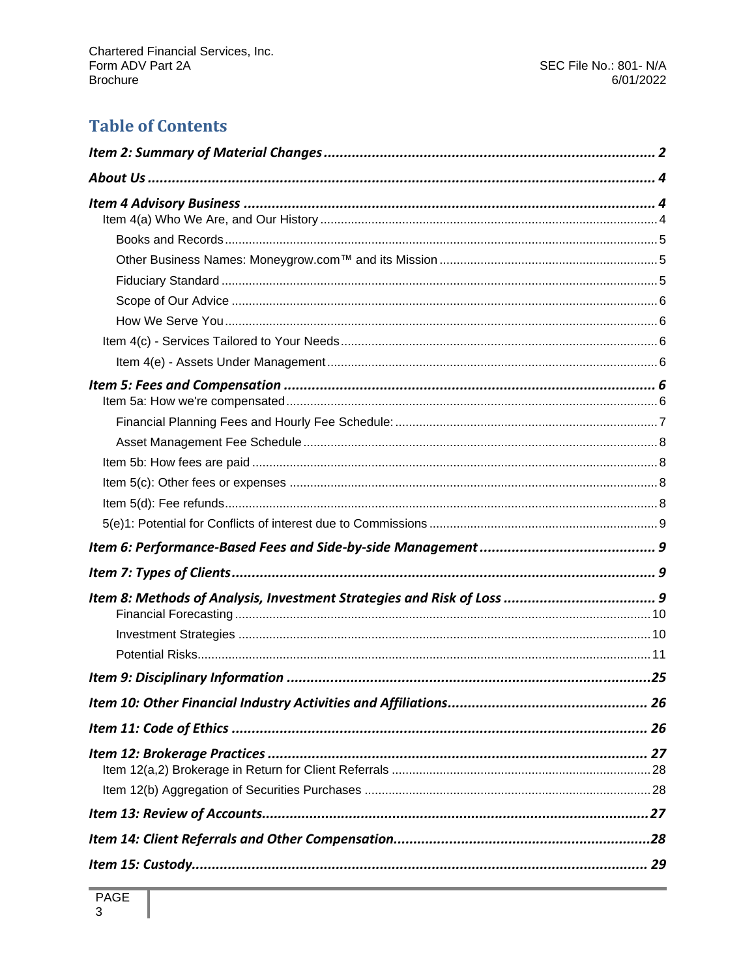# **Table of Contents**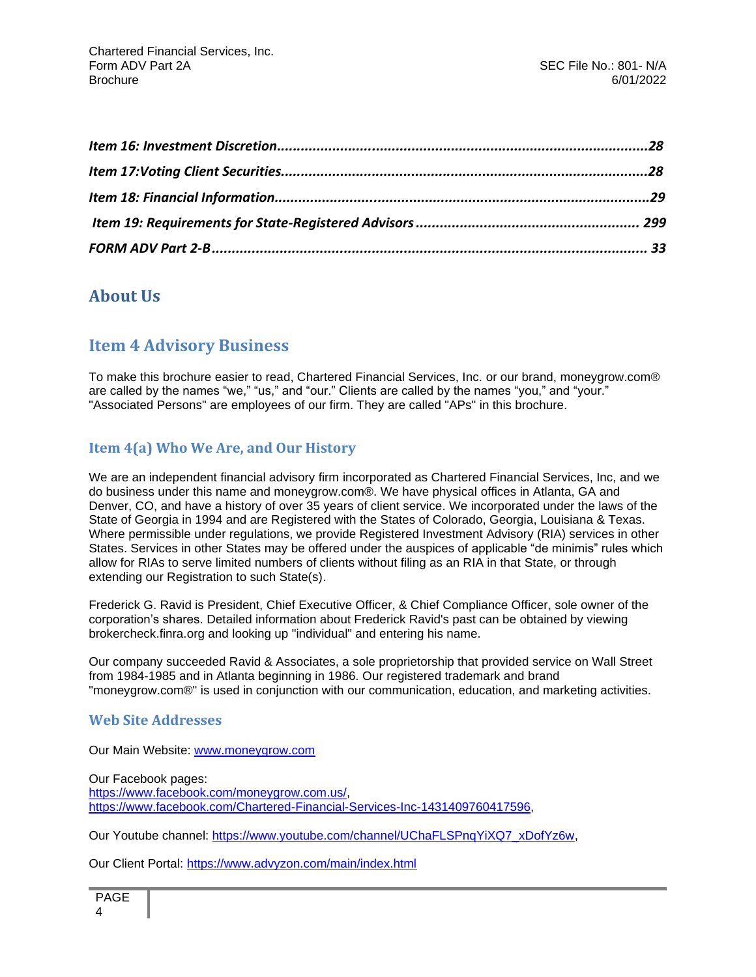## <span id="page-3-1"></span><span id="page-3-0"></span>**About Us**

## **Item 4 Advisory Business**

To make this brochure easier to read, Chartered Financial Services, Inc. or our brand, moneygrow.com® are called by the names "we," "us," and "our." Clients are called by the names "you," and "your." "Associated Persons" are employees of our firm. They are called "APs" in this brochure.

### <span id="page-3-2"></span>**Item 4(a) Who We Are, and Our History**

We are an independent financial advisory firm incorporated as Chartered Financial Services, Inc, and we do business under this name and moneygrow.com®. We have physical offices in Atlanta, GA and Denver, CO, and have a history of over 35 years of client service. We incorporated under the laws of the State of Georgia in 1994 and are Registered with the States of Colorado, Georgia, Louisiana & Texas. Where permissible under regulations, we provide Registered Investment Advisory (RIA) services in other States. Services in other States may be offered under the auspices of applicable "de minimis" rules which allow for RIAs to serve limited numbers of clients without filing as an RIA in that State, or through extending our Registration to such State(s).

Frederick G. Ravid is President, Chief Executive Officer, & Chief Compliance Officer, sole owner of the corporation's shares. Detailed information about Frederick Ravid's past can be obtained by viewing brokercheck.finra.org and looking up "individual" and entering his name.

Our company succeeded Ravid & Associates, a sole proprietorship that provided service on Wall Street from 1984-1985 and in Atlanta beginning in 1986. Our registered trademark and brand "moneygrow.com®" is used in conjunction with our communication, education, and marketing activities.

#### **Web Site Addresses**

Our Main Website: [www.moneygrow.com](http://www.moneygrow.com/)

Our Facebook pages: [https://www.facebook.com/moneygrow.com.us/,](https://www.facebook.com/moneygrow.com.us/) [https://www.facebook.com/Chartered-Financial-Services-Inc-1431409760417596,](https://www.facebook.com/Chartered-Financial-Services-Inc-1431409760417596)

Our Youtube channel: [https://www.youtube.com/channel/UChaFLSPnqYiXQ7\\_xDofYz6w,](https://www.youtube.com/channel/UChaFLSPnqYiXQ7_xDofYz6w)

Our Client Portal:<https://www.advyzon.com/main/index.html>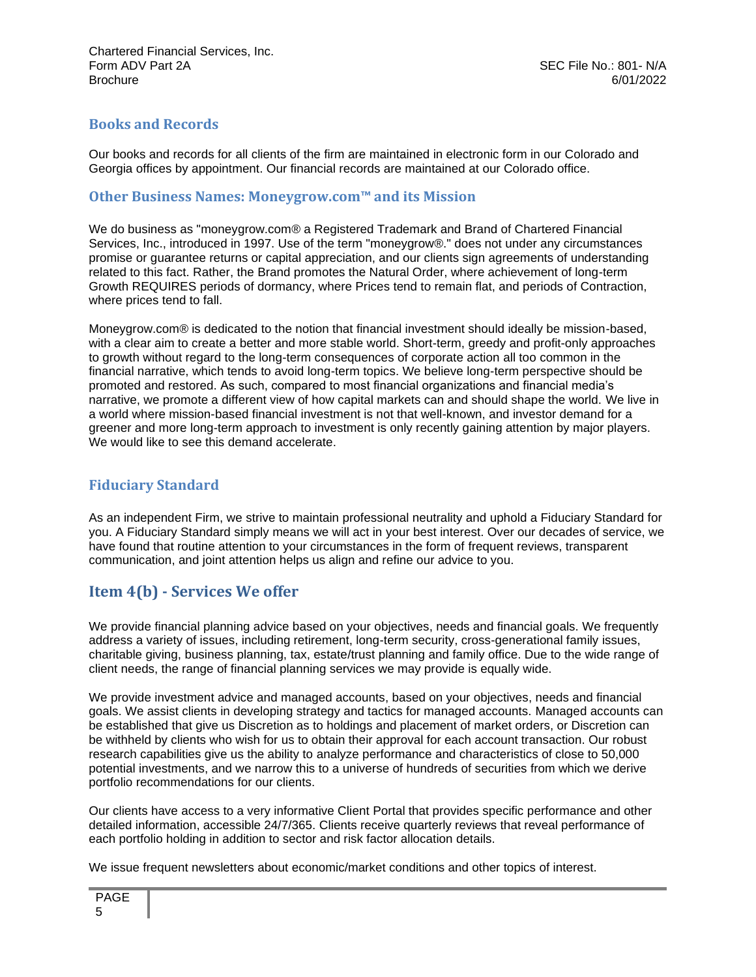### <span id="page-4-0"></span>**Books and Records**

Our books and records for all clients of the firm are maintained in electronic form in our Colorado and Georgia offices by appointment. Our financial records are maintained at our Colorado office.

#### <span id="page-4-1"></span>**Other Business Names: Moneygrow.com™ and its Mission**

We do business as "moneygrow.com® a Registered Trademark and Brand of Chartered Financial Services, Inc., introduced in 1997. Use of the term "moneygrow®." does not under any circumstances promise or guarantee returns or capital appreciation, and our clients sign agreements of understanding related to this fact. Rather, the Brand promotes the Natural Order, where achievement of long-term Growth REQUIRES periods of dormancy, where Prices tend to remain flat, and periods of Contraction, where prices tend to fall.

Moneygrow.com® is dedicated to the notion that financial investment should ideally be mission-based, with a clear aim to create a better and more stable world. Short-term, greedy and profit-only approaches to growth without regard to the long-term consequences of corporate action all too common in the financial narrative, which tends to avoid long-term topics. We believe long-term perspective should be promoted and restored. As such, compared to most financial organizations and financial media's narrative, we promote a different view of how capital markets can and should shape the world. We live in a world where mission-based financial investment is not that well-known, and investor demand for a greener and more long-term approach to investment is only recently gaining attention by major players. We would like to see this demand accelerate.

### <span id="page-4-2"></span>**Fiduciary Standard**

As an independent Firm, we strive to maintain professional neutrality and uphold a Fiduciary Standard for you. A Fiduciary Standard simply means we will act in your best interest. Over our decades of service, we have found that routine attention to your circumstances in the form of frequent reviews, transparent communication, and joint attention helps us align and refine our advice to you.

### **Item 4(b) - Services We offer**

We provide financial planning advice based on your objectives, needs and financial goals. We frequently address a variety of issues, including retirement, long-term security, cross-generational family issues, charitable giving, business planning, tax, estate/trust planning and family office. Due to the wide range of client needs, the range of financial planning services we may provide is equally wide.

We provide investment advice and managed accounts, based on your objectives, needs and financial goals. We assist clients in developing strategy and tactics for managed accounts. Managed accounts can be established that give us Discretion as to holdings and placement of market orders, or Discretion can be withheld by clients who wish for us to obtain their approval for each account transaction. Our robust research capabilities give us the ability to analyze performance and characteristics of close to 50,000 potential investments, and we narrow this to a universe of hundreds of securities from which we derive portfolio recommendations for our clients.

Our clients have access to a very informative Client Portal that provides specific performance and other detailed information, accessible 24/7/365. Clients receive quarterly reviews that reveal performance of each portfolio holding in addition to sector and risk factor allocation details.

We issue frequent newsletters about economic/market conditions and other topics of interest.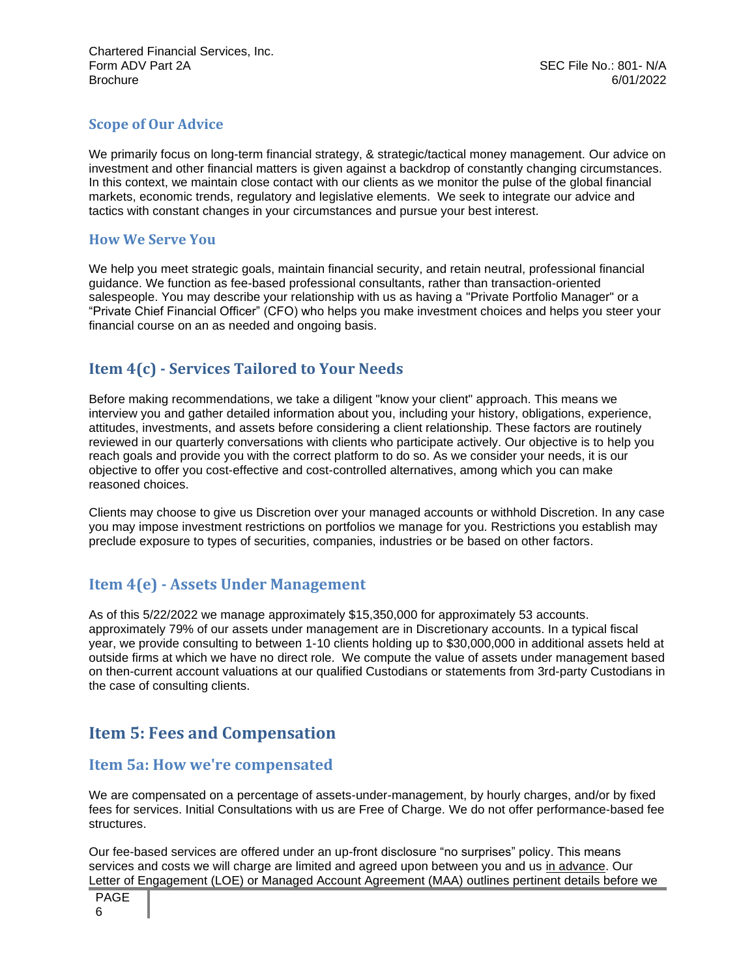### <span id="page-5-0"></span>**Scope of Our Advice**

We primarily focus on long-term financial strategy, & strategic/tactical money management. Our advice on investment and other financial matters is given against a backdrop of constantly changing circumstances. In this context, we maintain close contact with our clients as we monitor the pulse of the global financial markets, economic trends, regulatory and legislative elements. We seek to integrate our advice and tactics with constant changes in your circumstances and pursue your best interest.

#### <span id="page-5-1"></span>**How We Serve You**

We help you meet strategic goals, maintain financial security, and retain neutral, professional financial guidance. We function as fee-based professional consultants, rather than transaction-oriented salespeople. You may describe your relationship with us as having a "Private Portfolio Manager" or a "Private Chief Financial Officer" (CFO) who helps you make investment choices and helps you steer your financial course on an as needed and ongoing basis.

## <span id="page-5-2"></span>**Item 4(c) - Services Tailored to Your Needs**

Before making recommendations, we take a diligent "know your client" approach. This means we interview you and gather detailed information about you, including your history, obligations, experience, attitudes, investments, and assets before considering a client relationship. These factors are routinely reviewed in our quarterly conversations with clients who participate actively. Our objective is to help you reach goals and provide you with the correct platform to do so. As we consider your needs, it is our objective to offer you cost-effective and cost-controlled alternatives, among which you can make reasoned choices.

Clients may choose to give us Discretion over your managed accounts or withhold Discretion. In any case you may impose investment restrictions on portfolios we manage for you. Restrictions you establish may preclude exposure to types of securities, companies, industries or be based on other factors.

### <span id="page-5-3"></span>**Item 4(e) - Assets Under Management**

As of this 5/22/2022 we manage approximately \$15,350,000 for approximately 53 accounts. approximately 79% of our assets under management are in Discretionary accounts. In a typical fiscal year, we provide consulting to between 1-10 clients holding up to \$30,000,000 in additional assets held at outside firms at which we have no direct role. We compute the value of assets under management based on then-current account valuations at our qualified Custodians or statements from 3rd-party Custodians in the case of consulting clients.

## <span id="page-5-4"></span>**Item 5: Fees and Compensation**

### <span id="page-5-5"></span>**Item 5a: How we're compensated**

We are compensated on a percentage of assets-under-management, by hourly charges, and/or by fixed fees for services. Initial Consultations with us are Free of Charge. We do not offer performance-based fee structures.

Our fee-based services are offered under an up-front disclosure "no surprises" policy. This means services and costs we will charge are limited and agreed upon between you and us in advance. Our Letter of Engagement (LOE) or Managed Account Agreement (MAA) outlines pertinent details before we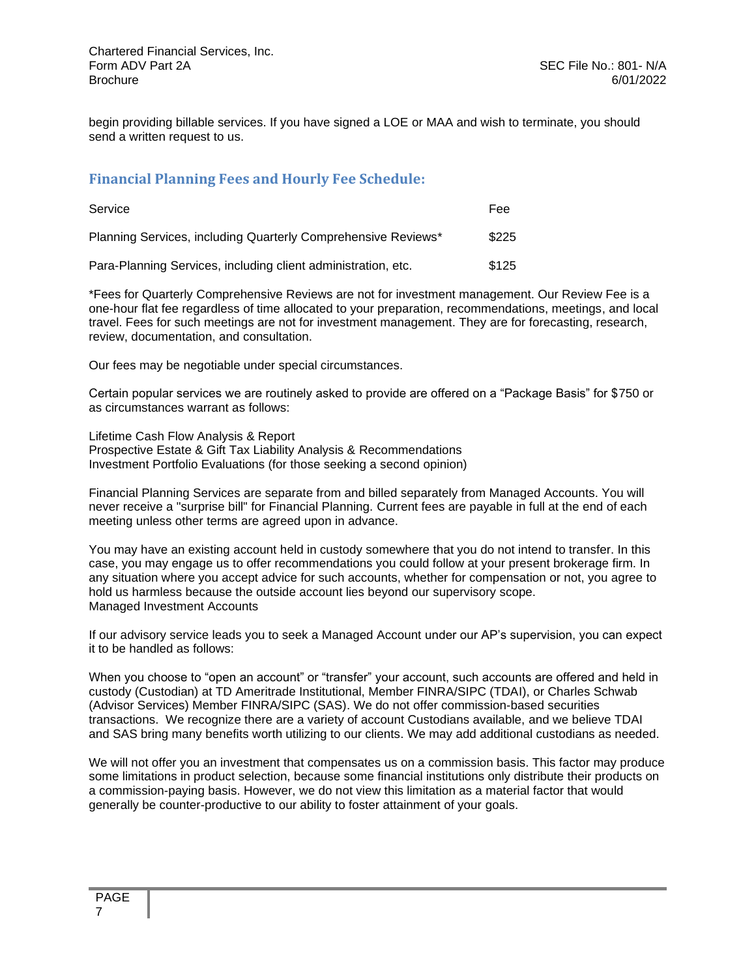begin providing billable services. If you have signed a LOE or MAA and wish to terminate, you should send a written request to us.

#### <span id="page-6-0"></span>**Financial Planning Fees and Hourly Fee Schedule:**

| Service                                                       | Fee   |
|---------------------------------------------------------------|-------|
| Planning Services, including Quarterly Comprehensive Reviews* | \$225 |
| Para-Planning Services, including client administration, etc. | \$125 |

\*Fees for Quarterly Comprehensive Reviews are not for investment management. Our Review Fee is a one-hour flat fee regardless of time allocated to your preparation, recommendations, meetings, and local travel. Fees for such meetings are not for investment management. They are for forecasting, research, review, documentation, and consultation.

Our fees may be negotiable under special circumstances.

Certain popular services we are routinely asked to provide are offered on a "Package Basis" for \$750 or as circumstances warrant as follows:

Lifetime Cash Flow Analysis & Report Prospective Estate & Gift Tax Liability Analysis & Recommendations Investment Portfolio Evaluations (for those seeking a second opinion)

Financial Planning Services are separate from and billed separately from Managed Accounts. You will never receive a "surprise bill" for Financial Planning. Current fees are payable in full at the end of each meeting unless other terms are agreed upon in advance.

You may have an existing account held in custody somewhere that you do not intend to transfer. In this case, you may engage us to offer recommendations you could follow at your present brokerage firm. In any situation where you accept advice for such accounts, whether for compensation or not, you agree to hold us harmless because the outside account lies beyond our supervisory scope. Managed Investment Accounts

If our advisory service leads you to seek a Managed Account under our AP's supervision, you can expect it to be handled as follows:

When you choose to "open an account" or "transfer" your account, such accounts are offered and held in custody (Custodian) at TD Ameritrade Institutional, Member FINRA/SIPC (TDAI), or Charles Schwab (Advisor Services) Member FINRA/SIPC (SAS). We do not offer commission-based securities transactions. We recognize there are a variety of account Custodians available, and we believe TDAI and SAS bring many benefits worth utilizing to our clients. We may add additional custodians as needed.

We will not offer you an investment that compensates us on a commission basis. This factor may produce some limitations in product selection, because some financial institutions only distribute their products on a commission-paying basis. However, we do not view this limitation as a material factor that would generally be counter-productive to our ability to foster attainment of your goals.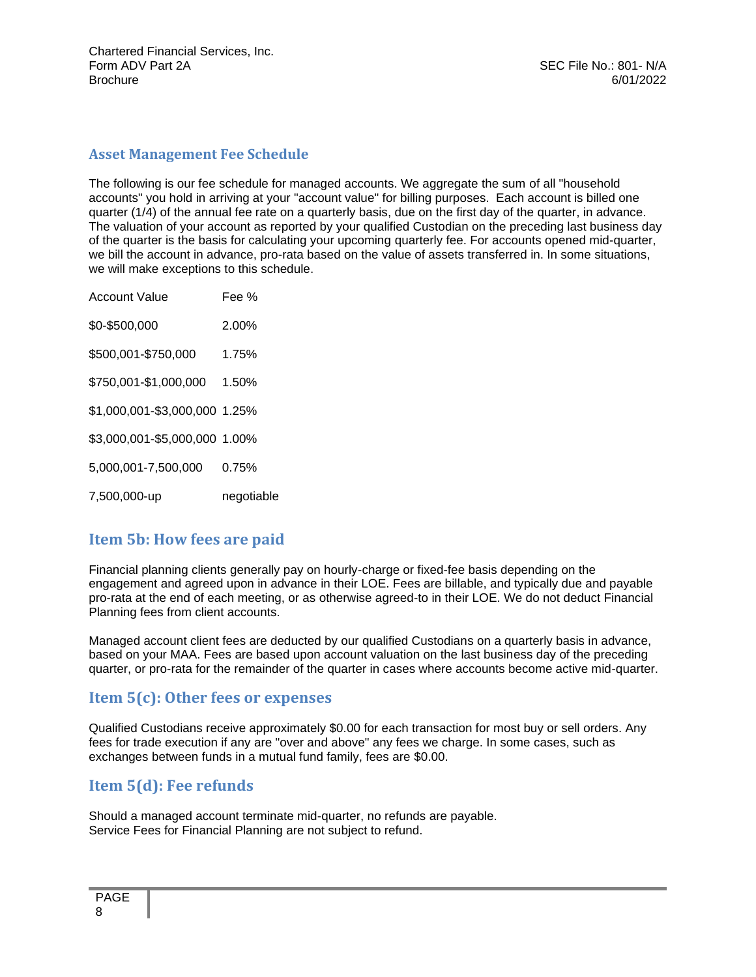#### <span id="page-7-0"></span>**Asset Management Fee Schedule**

The following is our fee schedule for managed accounts. We aggregate the sum of all "household accounts" you hold in arriving at your "account value" for billing purposes. Each account is billed one quarter (1/4) of the annual fee rate on a quarterly basis, due on the first day of the quarter, in advance. The valuation of your account as reported by your qualified Custodian on the preceding last business day of the quarter is the basis for calculating your upcoming quarterly fee. For accounts opened mid-quarter, we bill the account in advance, pro-rata based on the value of assets transferred in. In some situations, we will make exceptions to this schedule.

| Account Value                 | Fee %      |
|-------------------------------|------------|
| \$0-\$500,000                 | 2.00%      |
| \$500,001-\$750,000           | 1.75%      |
| \$750,001-\$1,000,000 1.50%   |            |
| \$1,000,001-\$3,000,000 1.25% |            |
| \$3,000,001-\$5,000,000 1.00% |            |
| 5,000,001-7,500,000           | 0.75%      |
| 7,500,000-up                  | negotiable |

### <span id="page-7-1"></span>**Item 5b: How fees are paid**

Financial planning clients generally pay on hourly-charge or fixed-fee basis depending on the engagement and agreed upon in advance in their LOE. Fees are billable, and typically due and payable pro-rata at the end of each meeting, or as otherwise agreed-to in their LOE. We do not deduct Financial Planning fees from client accounts.

Managed account client fees are deducted by our qualified Custodians on a quarterly basis in advance, based on your MAA. Fees are based upon account valuation on the last business day of the preceding quarter, or pro-rata for the remainder of the quarter in cases where accounts become active mid-quarter.

### <span id="page-7-2"></span>**Item 5(c): Other fees or expenses**

Qualified Custodians receive approximately \$0.00 for each transaction for most buy or sell orders. Any fees for trade execution if any are "over and above" any fees we charge. In some cases, such as exchanges between funds in a mutual fund family, fees are \$0.00.

### <span id="page-7-3"></span>**Item 5(d): Fee refunds**

Should a managed account terminate mid-quarter, no refunds are payable. Service Fees for Financial Planning are not subject to refund.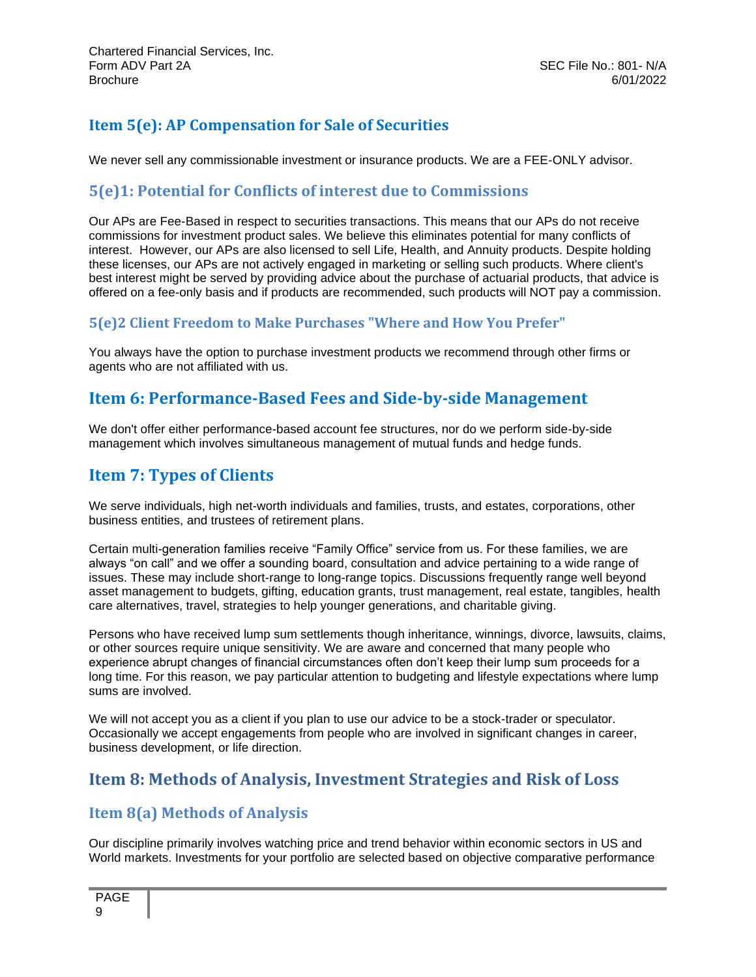## **Item 5(e): AP Compensation for Sale of Securities**

We never sell any commissionable investment or insurance products. We are a FEE-ONLY advisor.

### <span id="page-8-0"></span>**5(e)1: Potential for Conflicts of interest due to Commissions**

Our APs are Fee-Based in respect to securities transactions. This means that our APs do not receive commissions for investment product sales. We believe this eliminates potential for many conflicts of interest. However, our APs are also licensed to sell Life, Health, and Annuity products. Despite holding these licenses, our APs are not actively engaged in marketing or selling such products. Where client's best interest might be served by providing advice about the purchase of actuarial products, that advice is offered on a fee-only basis and if products are recommended, such products will NOT pay a commission.

#### **5(e)2 Client Freedom to Make Purchases "Where and How You Prefer"**

<span id="page-8-1"></span>You always have the option to purchase investment products we recommend through other firms or agents who are not affiliated with us.

## **Item 6: Performance-Based Fees and Side-by-side Management**

<span id="page-8-2"></span>We don't offer either performance-based account fee structures, nor do we perform side-by-side management which involves simultaneous management of mutual funds and hedge funds.

## **Item 7: Types of Clients**

We serve individuals, high net-worth individuals and families, trusts, and estates, corporations, other business entities, and trustees of retirement plans.

Certain multi-generation families receive "Family Office" service from us. For these families, we are always "on call" and we offer a sounding board, consultation and advice pertaining to a wide range of issues. These may include short-range to long-range topics. Discussions frequently range well beyond asset management to budgets, gifting, education grants, trust management, real estate, tangibles, health care alternatives, travel, strategies to help younger generations, and charitable giving.

Persons who have received lump sum settlements though inheritance, winnings, divorce, lawsuits, claims, or other sources require unique sensitivity. We are aware and concerned that many people who experience abrupt changes of financial circumstances often don't keep their lump sum proceeds for a long time. For this reason, we pay particular attention to budgeting and lifestyle expectations where lump sums are involved.

We will not accept you as a client if you plan to use our advice to be a stock-trader or speculator. Occasionally we accept engagements from people who are involved in significant changes in career, business development, or life direction.

## <span id="page-8-3"></span>**Item 8: Methods of Analysis, Investment Strategies and Risk of Loss**

### **Item 8(a) Methods of Analysis**

Our discipline primarily involves watching price and trend behavior within economic sectors in US and World markets. Investments for your portfolio are selected based on objective comparative performance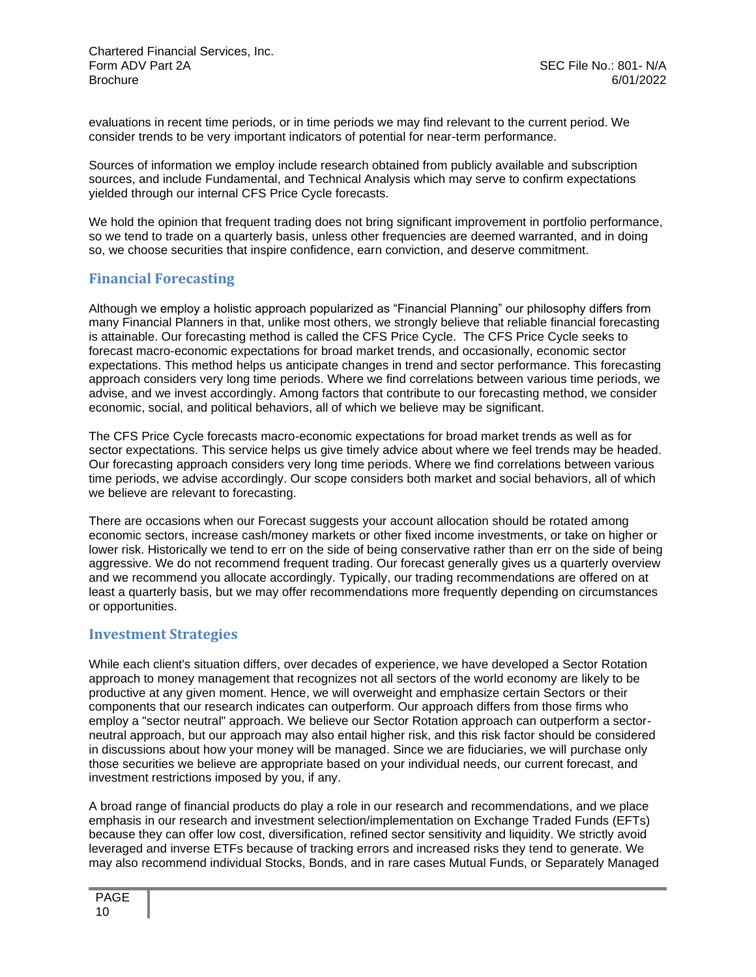Chartered Financial Services, Inc. Form ADV Part 2A SEC File No.: 801- N/A<br>Brochure 6/01/2022 Brochure 6/01/2022

evaluations in recent time periods, or in time periods we may find relevant to the current period. We consider trends to be very important indicators of potential for near-term performance.

Sources of information we employ include research obtained from publicly available and subscription sources, and include Fundamental, and Technical Analysis which may serve to confirm expectations yielded through our internal CFS Price Cycle forecasts.

We hold the opinion that frequent trading does not bring significant improvement in portfolio performance, so we tend to trade on a quarterly basis, unless other frequencies are deemed warranted, and in doing so, we choose securities that inspire confidence, earn conviction, and deserve commitment.

#### <span id="page-9-0"></span>**Financial Forecasting**

Although we employ a holistic approach popularized as "Financial Planning" our philosophy differs from many Financial Planners in that, unlike most others, we strongly believe that reliable financial forecasting is attainable. Our forecasting method is called the CFS Price Cycle. The CFS Price Cycle seeks to forecast macro-economic expectations for broad market trends, and occasionally, economic sector expectations. This method helps us anticipate changes in trend and sector performance. This forecasting approach considers very long time periods. Where we find correlations between various time periods, we advise, and we invest accordingly. Among factors that contribute to our forecasting method, we consider economic, social, and political behaviors, all of which we believe may be significant.

The CFS Price Cycle forecasts macro-economic expectations for broad market trends as well as for sector expectations. This service helps us give timely advice about where we feel trends may be headed. Our forecasting approach considers very long time periods. Where we find correlations between various time periods, we advise accordingly. Our scope considers both market and social behaviors, all of which we believe are relevant to forecasting.

There are occasions when our Forecast suggests your account allocation should be rotated among economic sectors, increase cash/money markets or other fixed income investments, or take on higher or lower risk. Historically we tend to err on the side of being conservative rather than err on the side of being aggressive. We do not recommend frequent trading. Our forecast generally gives us a quarterly overview and we recommend you allocate accordingly. Typically, our trading recommendations are offered on at least a quarterly basis, but we may offer recommendations more frequently depending on circumstances or opportunities.

#### <span id="page-9-1"></span>**Investment Strategies**

While each client's situation differs, over decades of experience, we have developed a Sector Rotation approach to money management that recognizes not all sectors of the world economy are likely to be productive at any given moment. Hence, we will overweight and emphasize certain Sectors or their components that our research indicates can outperform. Our approach differs from those firms who employ a "sector neutral" approach. We believe our Sector Rotation approach can outperform a sectorneutral approach, but our approach may also entail higher risk, and this risk factor should be considered in discussions about how your money will be managed. Since we are fiduciaries, we will purchase only those securities we believe are appropriate based on your individual needs, our current forecast, and investment restrictions imposed by you, if any.

A broad range of financial products do play a role in our research and recommendations, and we place emphasis in our research and investment selection/implementation on Exchange Traded Funds (EFTs) because they can offer low cost, diversification, refined sector sensitivity and liquidity. We strictly avoid leveraged and inverse ETFs because of tracking errors and increased risks they tend to generate. We may also recommend individual Stocks, Bonds, and in rare cases Mutual Funds, or Separately Managed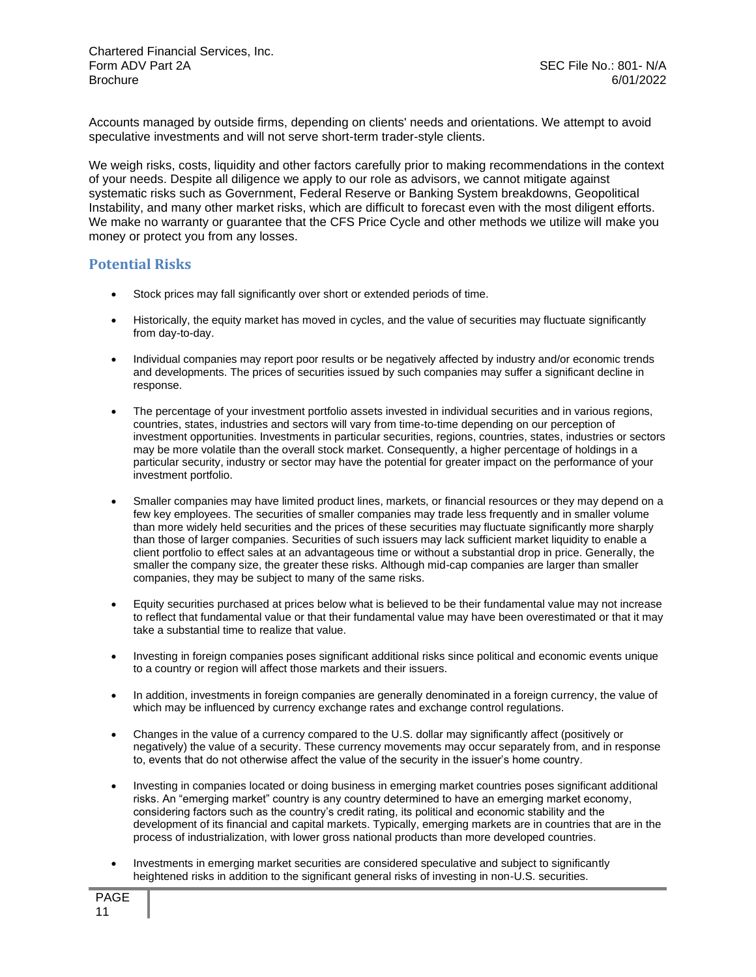Accounts managed by outside firms, depending on clients' needs and orientations. We attempt to avoid speculative investments and will not serve short-term trader-style clients.

We weigh risks, costs, liquidity and other factors carefully prior to making recommendations in the context of your needs. Despite all diligence we apply to our role as advisors, we cannot mitigate against systematic risks such as Government, Federal Reserve or Banking System breakdowns, Geopolitical Instability, and many other market risks, which are difficult to forecast even with the most diligent efforts. We make no warranty or guarantee that the CFS Price Cycle and other methods we utilize will make you money or protect you from any losses.

#### <span id="page-10-0"></span>**Potential Risks**

- Stock prices may fall significantly over short or extended periods of time.
- Historically, the equity market has moved in cycles, and the value of securities may fluctuate significantly from day-to-day.
- Individual companies may report poor results or be negatively affected by industry and/or economic trends and developments. The prices of securities issued by such companies may suffer a significant decline in response.
- The percentage of your investment portfolio assets invested in individual securities and in various regions, countries, states, industries and sectors will vary from time-to-time depending on our perception of investment opportunities. Investments in particular securities, regions, countries, states, industries or sectors may be more volatile than the overall stock market. Consequently, a higher percentage of holdings in a particular security, industry or sector may have the potential for greater impact on the performance of your investment portfolio.
- Smaller companies may have limited product lines, markets, or financial resources or they may depend on a few key employees. The securities of smaller companies may trade less frequently and in smaller volume than more widely held securities and the prices of these securities may fluctuate significantly more sharply than those of larger companies. Securities of such issuers may lack sufficient market liquidity to enable a client portfolio to effect sales at an advantageous time or without a substantial drop in price. Generally, the smaller the company size, the greater these risks. Although mid-cap companies are larger than smaller companies, they may be subject to many of the same risks.
- Equity securities purchased at prices below what is believed to be their fundamental value may not increase to reflect that fundamental value or that their fundamental value may have been overestimated or that it may take a substantial time to realize that value.
- Investing in foreign companies poses significant additional risks since political and economic events unique to a country or region will affect those markets and their issuers.
- In addition, investments in foreign companies are generally denominated in a foreign currency, the value of which may be influenced by currency exchange rates and exchange control regulations.
- Changes in the value of a currency compared to the U.S. dollar may significantly affect (positively or negatively) the value of a security. These currency movements may occur separately from, and in response to, events that do not otherwise affect the value of the security in the issuer's home country.
- Investing in companies located or doing business in emerging market countries poses significant additional risks. An "emerging market" country is any country determined to have an emerging market economy, considering factors such as the country's credit rating, its political and economic stability and the development of its financial and capital markets. Typically, emerging markets are in countries that are in the process of industrialization, with lower gross national products than more developed countries.
- Investments in emerging market securities are considered speculative and subject to significantly heightened risks in addition to the significant general risks of investing in non-U.S. securities.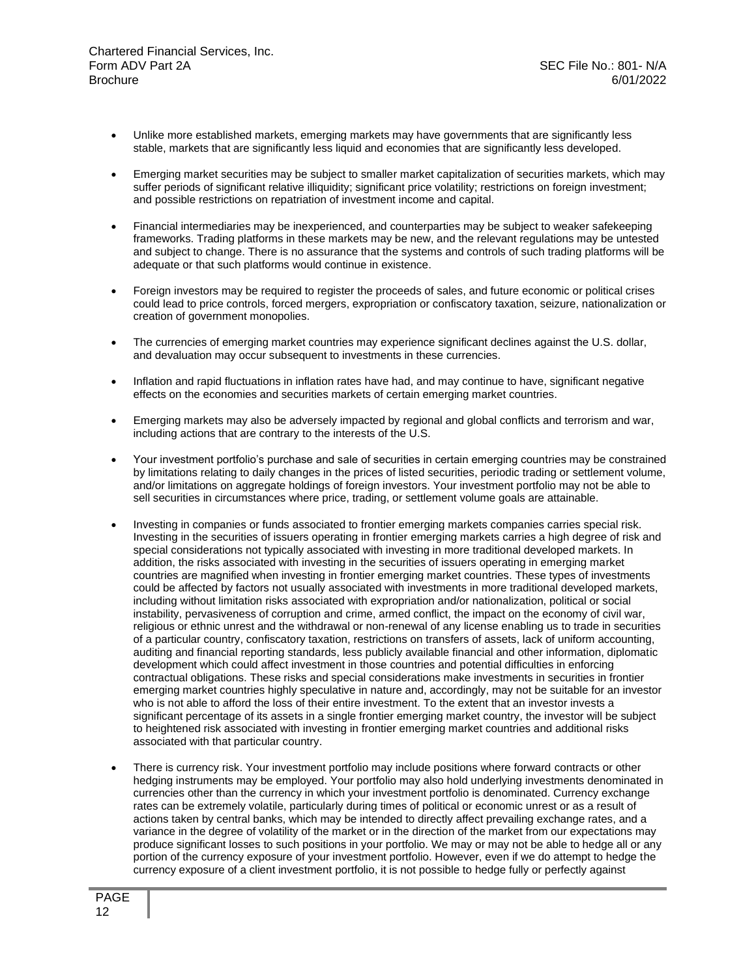- Unlike more established markets, emerging markets may have governments that are significantly less stable, markets that are significantly less liquid and economies that are significantly less developed.
- Emerging market securities may be subject to smaller market capitalization of securities markets, which may suffer periods of significant relative illiquidity; significant price volatility; restrictions on foreign investment; and possible restrictions on repatriation of investment income and capital.
- Financial intermediaries may be inexperienced, and counterparties may be subject to weaker safekeeping frameworks. Trading platforms in these markets may be new, and the relevant regulations may be untested and subject to change. There is no assurance that the systems and controls of such trading platforms will be adequate or that such platforms would continue in existence.
- Foreign investors may be required to register the proceeds of sales, and future economic or political crises could lead to price controls, forced mergers, expropriation or confiscatory taxation, seizure, nationalization or creation of government monopolies.
- The currencies of emerging market countries may experience significant declines against the U.S. dollar, and devaluation may occur subsequent to investments in these currencies.
- Inflation and rapid fluctuations in inflation rates have had, and may continue to have, significant negative effects on the economies and securities markets of certain emerging market countries.
- Emerging markets may also be adversely impacted by regional and global conflicts and terrorism and war, including actions that are contrary to the interests of the U.S.
- Your investment portfolio's purchase and sale of securities in certain emerging countries may be constrained by limitations relating to daily changes in the prices of listed securities, periodic trading or settlement volume, and/or limitations on aggregate holdings of foreign investors. Your investment portfolio may not be able to sell securities in circumstances where price, trading, or settlement volume goals are attainable.
- Investing in companies or funds associated to frontier emerging markets companies carries special risk. Investing in the securities of issuers operating in frontier emerging markets carries a high degree of risk and special considerations not typically associated with investing in more traditional developed markets. In addition, the risks associated with investing in the securities of issuers operating in emerging market countries are magnified when investing in frontier emerging market countries. These types of investments could be affected by factors not usually associated with investments in more traditional developed markets, including without limitation risks associated with expropriation and/or nationalization, political or social instability, pervasiveness of corruption and crime, armed conflict, the impact on the economy of civil war, religious or ethnic unrest and the withdrawal or non-renewal of any license enabling us to trade in securities of a particular country, confiscatory taxation, restrictions on transfers of assets, lack of uniform accounting, auditing and financial reporting standards, less publicly available financial and other information, diplomatic development which could affect investment in those countries and potential difficulties in enforcing contractual obligations. These risks and special considerations make investments in securities in frontier emerging market countries highly speculative in nature and, accordingly, may not be suitable for an investor who is not able to afford the loss of their entire investment. To the extent that an investor invests a significant percentage of its assets in a single frontier emerging market country, the investor will be subject to heightened risk associated with investing in frontier emerging market countries and additional risks associated with that particular country.
- There is currency risk. Your investment portfolio may include positions where forward contracts or other hedging instruments may be employed. Your portfolio may also hold underlying investments denominated in currencies other than the currency in which your investment portfolio is denominated. Currency exchange rates can be extremely volatile, particularly during times of political or economic unrest or as a result of actions taken by central banks, which may be intended to directly affect prevailing exchange rates, and a variance in the degree of volatility of the market or in the direction of the market from our expectations may produce significant losses to such positions in your portfolio. We may or may not be able to hedge all or any portion of the currency exposure of your investment portfolio. However, even if we do attempt to hedge the currency exposure of a client investment portfolio, it is not possible to hedge fully or perfectly against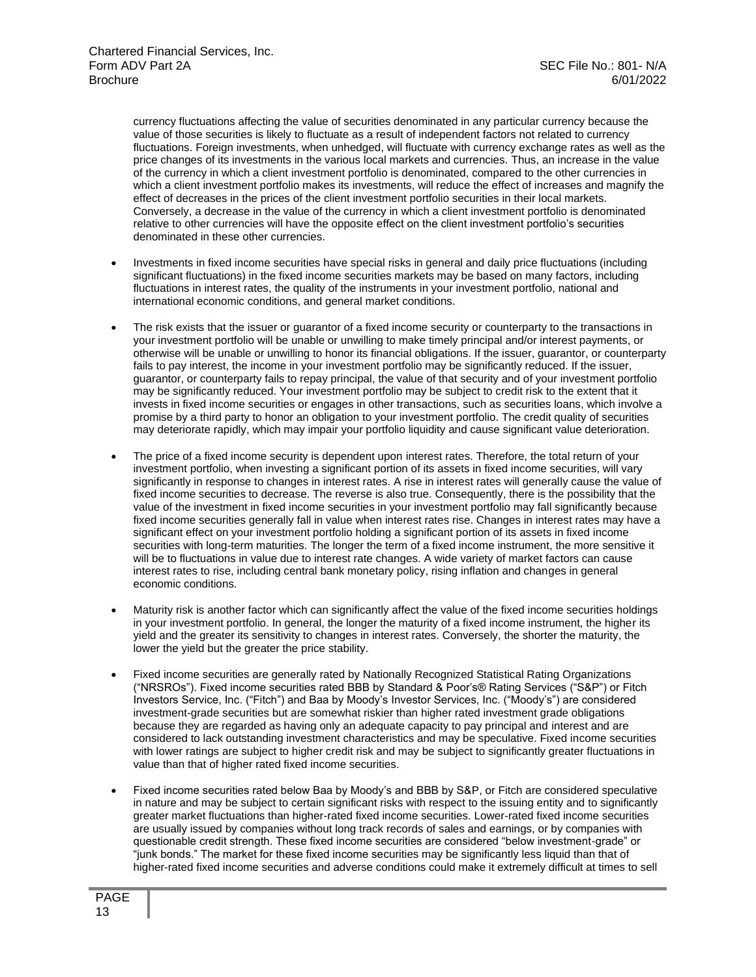currency fluctuations affecting the value of securities denominated in any particular currency because the value of those securities is likely to fluctuate as a result of independent factors not related to currency fluctuations. Foreign investments, when unhedged, will fluctuate with currency exchange rates as well as the price changes of its investments in the various local markets and currencies. Thus, an increase in the value of the currency in which a client investment portfolio is denominated, compared to the other currencies in which a client investment portfolio makes its investments, will reduce the effect of increases and magnify the effect of decreases in the prices of the client investment portfolio securities in their local markets. Conversely, a decrease in the value of the currency in which a client investment portfolio is denominated relative to other currencies will have the opposite effect on the client investment portfolio's securities denominated in these other currencies.

- Investments in fixed income securities have special risks in general and daily price fluctuations (including significant fluctuations) in the fixed income securities markets may be based on many factors, including fluctuations in interest rates, the quality of the instruments in your investment portfolio, national and international economic conditions, and general market conditions.
- The risk exists that the issuer or guarantor of a fixed income security or counterparty to the transactions in your investment portfolio will be unable or unwilling to make timely principal and/or interest payments, or otherwise will be unable or unwilling to honor its financial obligations. If the issuer, guarantor, or counterparty fails to pay interest, the income in your investment portfolio may be significantly reduced. If the issuer, guarantor, or counterparty fails to repay principal, the value of that security and of your investment portfolio may be significantly reduced. Your investment portfolio may be subject to credit risk to the extent that it invests in fixed income securities or engages in other transactions, such as securities loans, which involve a promise by a third party to honor an obligation to your investment portfolio. The credit quality of securities may deteriorate rapidly, which may impair your portfolio liquidity and cause significant value deterioration.
- The price of a fixed income security is dependent upon interest rates. Therefore, the total return of your investment portfolio, when investing a significant portion of its assets in fixed income securities, will vary significantly in response to changes in interest rates. A rise in interest rates will generally cause the value of fixed income securities to decrease. The reverse is also true. Consequently, there is the possibility that the value of the investment in fixed income securities in your investment portfolio may fall significantly because fixed income securities generally fall in value when interest rates rise. Changes in interest rates may have a significant effect on your investment portfolio holding a significant portion of its assets in fixed income securities with long-term maturities. The longer the term of a fixed income instrument, the more sensitive it will be to fluctuations in value due to interest rate changes. A wide variety of market factors can cause interest rates to rise, including central bank monetary policy, rising inflation and changes in general economic conditions.
- Maturity risk is another factor which can significantly affect the value of the fixed income securities holdings in your investment portfolio. In general, the longer the maturity of a fixed income instrument, the higher its yield and the greater its sensitivity to changes in interest rates. Conversely, the shorter the maturity, the lower the yield but the greater the price stability.
- Fixed income securities are generally rated by Nationally Recognized Statistical Rating Organizations ("NRSROs"). Fixed income securities rated BBB by Standard & Poor's® Rating Services ("S&P") or Fitch Investors Service, Inc. ("Fitch") and Baa by Moody's Investor Services, Inc. ("Moody's") are considered investment-grade securities but are somewhat riskier than higher rated investment grade obligations because they are regarded as having only an adequate capacity to pay principal and interest and are considered to lack outstanding investment characteristics and may be speculative. Fixed income securities with lower ratings are subject to higher credit risk and may be subject to significantly greater fluctuations in value than that of higher rated fixed income securities.
- Fixed income securities rated below Baa by Moody's and BBB by S&P, or Fitch are considered speculative in nature and may be subject to certain significant risks with respect to the issuing entity and to significantly greater market fluctuations than higher-rated fixed income securities. Lower-rated fixed income securities are usually issued by companies without long track records of sales and earnings, or by companies with questionable credit strength. These fixed income securities are considered "below investment-grade" or "junk bonds." The market for these fixed income securities may be significantly less liquid than that of higher-rated fixed income securities and adverse conditions could make it extremely difficult at times to sell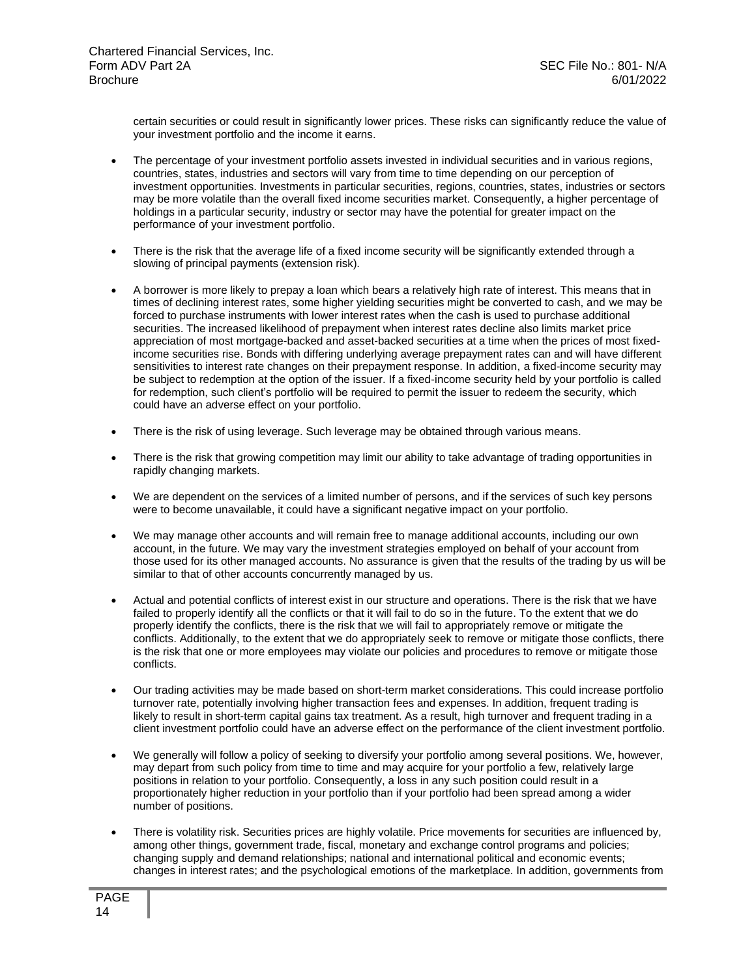certain securities or could result in significantly lower prices. These risks can significantly reduce the value of your investment portfolio and the income it earns.

- The percentage of your investment portfolio assets invested in individual securities and in various regions, countries, states, industries and sectors will vary from time to time depending on our perception of investment opportunities. Investments in particular securities, regions, countries, states, industries or sectors may be more volatile than the overall fixed income securities market. Consequently, a higher percentage of holdings in a particular security, industry or sector may have the potential for greater impact on the performance of your investment portfolio.
- There is the risk that the average life of a fixed income security will be significantly extended through a slowing of principal payments (extension risk).
- A borrower is more likely to prepay a loan which bears a relatively high rate of interest. This means that in times of declining interest rates, some higher yielding securities might be converted to cash, and we may be forced to purchase instruments with lower interest rates when the cash is used to purchase additional securities. The increased likelihood of prepayment when interest rates decline also limits market price appreciation of most mortgage-backed and asset-backed securities at a time when the prices of most fixedincome securities rise. Bonds with differing underlying average prepayment rates can and will have different sensitivities to interest rate changes on their prepayment response. In addition, a fixed-income security may be subject to redemption at the option of the issuer. If a fixed-income security held by your portfolio is called for redemption, such client's portfolio will be required to permit the issuer to redeem the security, which could have an adverse effect on your portfolio.
- There is the risk of using leverage. Such leverage may be obtained through various means.
- There is the risk that growing competition may limit our ability to take advantage of trading opportunities in rapidly changing markets.
- We are dependent on the services of a limited number of persons, and if the services of such key persons were to become unavailable, it could have a significant negative impact on your portfolio.
- We may manage other accounts and will remain free to manage additional accounts, including our own account, in the future. We may vary the investment strategies employed on behalf of your account from those used for its other managed accounts. No assurance is given that the results of the trading by us will be similar to that of other accounts concurrently managed by us.
- Actual and potential conflicts of interest exist in our structure and operations. There is the risk that we have failed to properly identify all the conflicts or that it will fail to do so in the future. To the extent that we do properly identify the conflicts, there is the risk that we will fail to appropriately remove or mitigate the conflicts. Additionally, to the extent that we do appropriately seek to remove or mitigate those conflicts, there is the risk that one or more employees may violate our policies and procedures to remove or mitigate those conflicts.
- Our trading activities may be made based on short-term market considerations. This could increase portfolio turnover rate, potentially involving higher transaction fees and expenses. In addition, frequent trading is likely to result in short-term capital gains tax treatment. As a result, high turnover and frequent trading in a client investment portfolio could have an adverse effect on the performance of the client investment portfolio.
- We generally will follow a policy of seeking to diversify your portfolio among several positions. We, however, may depart from such policy from time to time and may acquire for your portfolio a few, relatively large positions in relation to your portfolio. Consequently, a loss in any such position could result in a proportionately higher reduction in your portfolio than if your portfolio had been spread among a wider number of positions.
- There is volatility risk. Securities prices are highly volatile. Price movements for securities are influenced by, among other things, government trade, fiscal, monetary and exchange control programs and policies; changing supply and demand relationships; national and international political and economic events; changes in interest rates; and the psychological emotions of the marketplace. In addition, governments from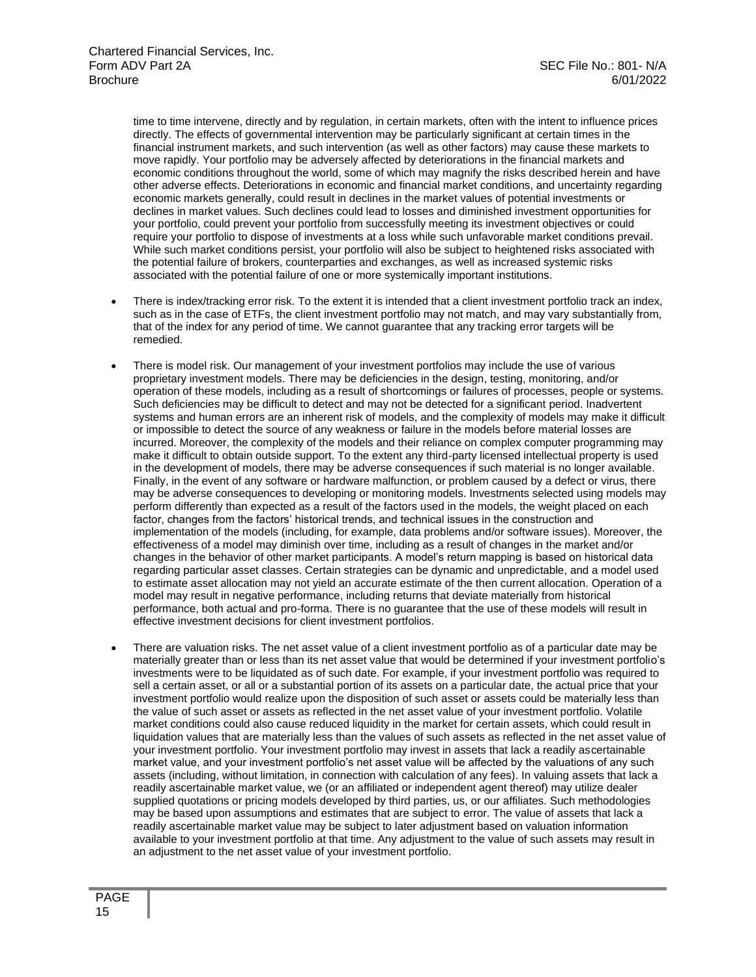time to time intervene, directly and by regulation, in certain markets, often with the intent to influence prices directly. The effects of governmental intervention may be particularly significant at certain times in the financial instrument markets, and such intervention (as well as other factors) may cause these markets to move rapidly. Your portfolio may be adversely affected by deteriorations in the financial markets and economic conditions throughout the world, some of which may magnify the risks described herein and have other adverse effects. Deteriorations in economic and financial market conditions, and uncertainty regarding economic markets generally, could result in declines in the market values of potential investments or declines in market values. Such declines could lead to losses and diminished investment opportunities for your portfolio, could prevent your portfolio from successfully meeting its investment objectives or could require your portfolio to dispose of investments at a loss while such unfavorable market conditions prevail. While such market conditions persist, your portfolio will also be subject to heightened risks associated with the potential failure of brokers, counterparties and exchanges, as well as increased systemic risks associated with the potential failure of one or more systemically important institutions.

- There is index/tracking error risk. To the extent it is intended that a client investment portfolio track an index, such as in the case of ETFs, the client investment portfolio may not match, and may vary substantially from, that of the index for any period of time. We cannot guarantee that any tracking error targets will be remedied.
- There is model risk. Our management of your investment portfolios may include the use of various proprietary investment models. There may be deficiencies in the design, testing, monitoring, and/or operation of these models, including as a result of shortcomings or failures of processes, people or systems. Such deficiencies may be difficult to detect and may not be detected for a significant period. Inadvertent systems and human errors are an inherent risk of models, and the complexity of models may make it difficult or impossible to detect the source of any weakness or failure in the models before material losses are incurred. Moreover, the complexity of the models and their reliance on complex computer programming may make it difficult to obtain outside support. To the extent any third-party licensed intellectual property is used in the development of models, there may be adverse consequences if such material is no longer available. Finally, in the event of any software or hardware malfunction, or problem caused by a defect or virus, there may be adverse consequences to developing or monitoring models. Investments selected using models may perform differently than expected as a result of the factors used in the models, the weight placed on each factor, changes from the factors' historical trends, and technical issues in the construction and implementation of the models (including, for example, data problems and/or software issues). Moreover, the effectiveness of a model may diminish over time, including as a result of changes in the market and/or changes in the behavior of other market participants. A model's return mapping is based on historical data regarding particular asset classes. Certain strategies can be dynamic and unpredictable, and a model used to estimate asset allocation may not yield an accurate estimate of the then current allocation. Operation of a model may result in negative performance, including returns that deviate materially from historical performance, both actual and pro-forma. There is no guarantee that the use of these models will result in effective investment decisions for client investment portfolios.
- There are valuation risks. The net asset value of a client investment portfolio as of a particular date may be materially greater than or less than its net asset value that would be determined if your investment portfolio's investments were to be liquidated as of such date. For example, if your investment portfolio was required to sell a certain asset, or all or a substantial portion of its assets on a particular date, the actual price that your investment portfolio would realize upon the disposition of such asset or assets could be materially less than the value of such asset or assets as reflected in the net asset value of your investment portfolio. Volatile market conditions could also cause reduced liquidity in the market for certain assets, which could result in liquidation values that are materially less than the values of such assets as reflected in the net asset value of your investment portfolio. Your investment portfolio may invest in assets that lack a readily ascertainable market value, and your investment portfolio's net asset value will be affected by the valuations of any such assets (including, without limitation, in connection with calculation of any fees). In valuing assets that lack a readily ascertainable market value, we (or an affiliated or independent agent thereof) may utilize dealer supplied quotations or pricing models developed by third parties, us, or our affiliates. Such methodologies may be based upon assumptions and estimates that are subject to error. The value of assets that lack a readily ascertainable market value may be subject to later adjustment based on valuation information available to your investment portfolio at that time. Any adjustment to the value of such assets may result in an adjustment to the net asset value of your investment portfolio.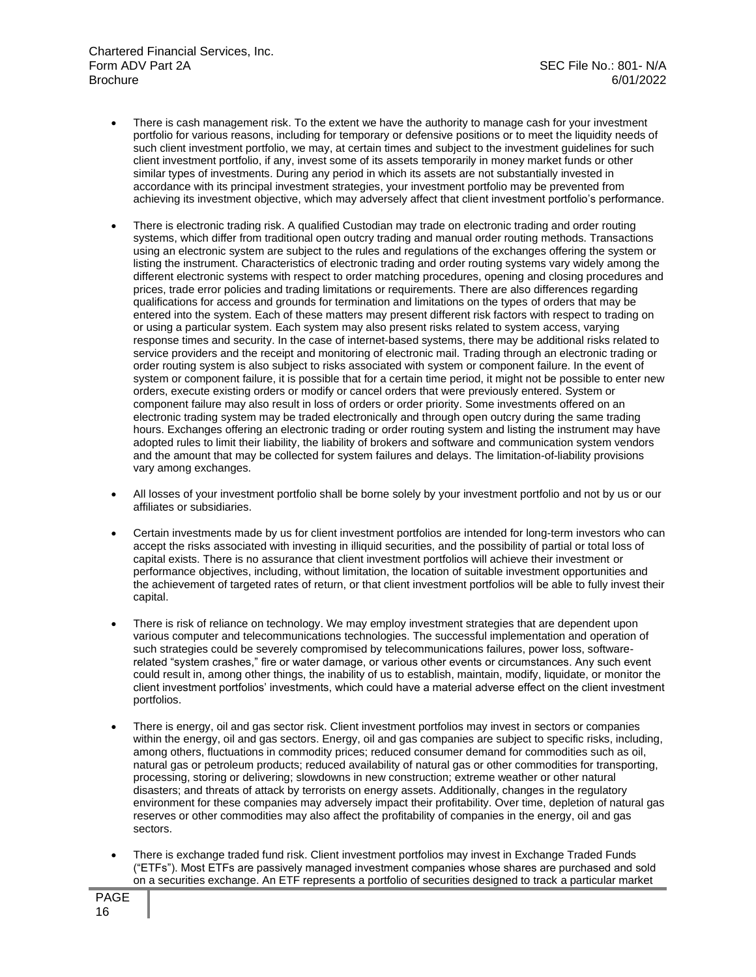- There is cash management risk. To the extent we have the authority to manage cash for your investment portfolio for various reasons, including for temporary or defensive positions or to meet the liquidity needs of such client investment portfolio, we may, at certain times and subject to the investment guidelines for such client investment portfolio, if any, invest some of its assets temporarily in money market funds or other similar types of investments. During any period in which its assets are not substantially invested in accordance with its principal investment strategies, your investment portfolio may be prevented from achieving its investment objective, which may adversely affect that client investment portfolio's performance.
- There is electronic trading risk. A qualified Custodian may trade on electronic trading and order routing systems, which differ from traditional open outcry trading and manual order routing methods. Transactions using an electronic system are subject to the rules and regulations of the exchanges offering the system or listing the instrument. Characteristics of electronic trading and order routing systems vary widely among the different electronic systems with respect to order matching procedures, opening and closing procedures and prices, trade error policies and trading limitations or requirements. There are also differences regarding qualifications for access and grounds for termination and limitations on the types of orders that may be entered into the system. Each of these matters may present different risk factors with respect to trading on or using a particular system. Each system may also present risks related to system access, varying response times and security. In the case of internet-based systems, there may be additional risks related to service providers and the receipt and monitoring of electronic mail. Trading through an electronic trading or order routing system is also subject to risks associated with system or component failure. In the event of system or component failure, it is possible that for a certain time period, it might not be possible to enter new orders, execute existing orders or modify or cancel orders that were previously entered. System or component failure may also result in loss of orders or order priority. Some investments offered on an electronic trading system may be traded electronically and through open outcry during the same trading hours. Exchanges offering an electronic trading or order routing system and listing the instrument may have adopted rules to limit their liability, the liability of brokers and software and communication system vendors and the amount that may be collected for system failures and delays. The limitation-of-liability provisions vary among exchanges.
- All losses of your investment portfolio shall be borne solely by your investment portfolio and not by us or our affiliates or subsidiaries.
- Certain investments made by us for client investment portfolios are intended for long-term investors who can accept the risks associated with investing in illiquid securities, and the possibility of partial or total loss of capital exists. There is no assurance that client investment portfolios will achieve their investment or performance objectives, including, without limitation, the location of suitable investment opportunities and the achievement of targeted rates of return, or that client investment portfolios will be able to fully invest their capital.
- There is risk of reliance on technology. We may employ investment strategies that are dependent upon various computer and telecommunications technologies. The successful implementation and operation of such strategies could be severely compromised by telecommunications failures, power loss, softwarerelated "system crashes," fire or water damage, or various other events or circumstances. Any such event could result in, among other things, the inability of us to establish, maintain, modify, liquidate, or monitor the client investment portfolios' investments, which could have a material adverse effect on the client investment portfolios.
- There is energy, oil and gas sector risk. Client investment portfolios may invest in sectors or companies within the energy, oil and gas sectors. Energy, oil and gas companies are subject to specific risks, including, among others, fluctuations in commodity prices; reduced consumer demand for commodities such as oil, natural gas or petroleum products; reduced availability of natural gas or other commodities for transporting, processing, storing or delivering; slowdowns in new construction; extreme weather or other natural disasters; and threats of attack by terrorists on energy assets. Additionally, changes in the regulatory environment for these companies may adversely impact their profitability. Over time, depletion of natural gas reserves or other commodities may also affect the profitability of companies in the energy, oil and gas sectors.
- There is exchange traded fund risk. Client investment portfolios may invest in Exchange Traded Funds ("ETFs"). Most ETFs are passively managed investment companies whose shares are purchased and sold on a securities exchange. An ETF represents a portfolio of securities designed to track a particular market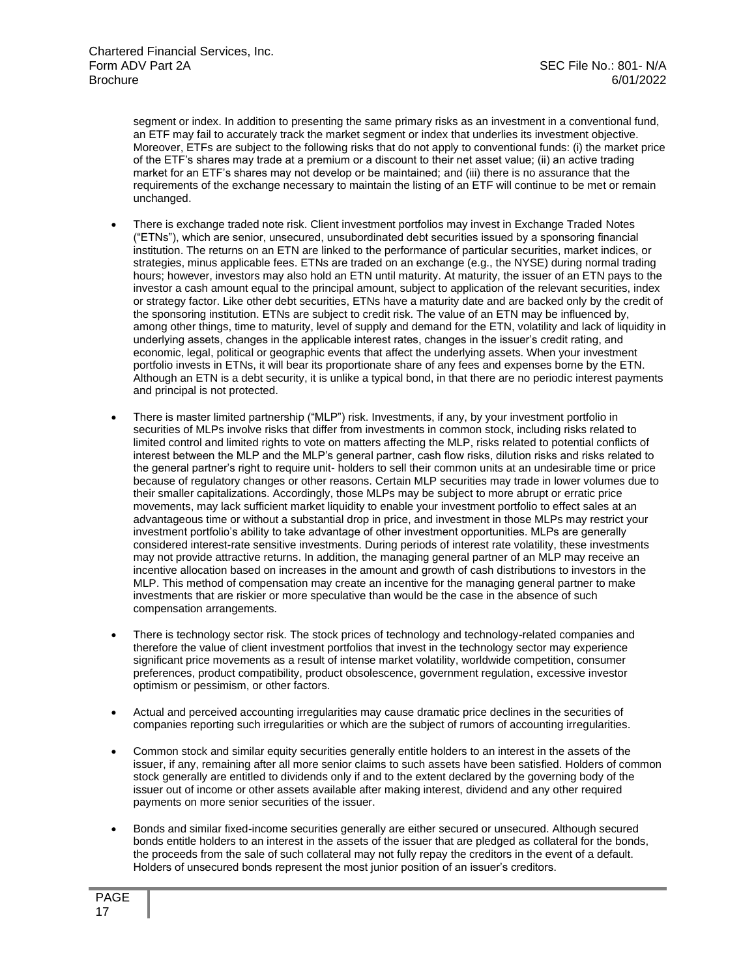segment or index. In addition to presenting the same primary risks as an investment in a conventional fund, an ETF may fail to accurately track the market segment or index that underlies its investment objective. Moreover, ETFs are subject to the following risks that do not apply to conventional funds: (i) the market price of the ETF's shares may trade at a premium or a discount to their net asset value; (ii) an active trading market for an ETF's shares may not develop or be maintained; and (iii) there is no assurance that the requirements of the exchange necessary to maintain the listing of an ETF will continue to be met or remain unchanged.

- There is exchange traded note risk. Client investment portfolios may invest in Exchange Traded Notes ("ETNs"), which are senior, unsecured, unsubordinated debt securities issued by a sponsoring financial institution. The returns on an ETN are linked to the performance of particular securities, market indices, or strategies, minus applicable fees. ETNs are traded on an exchange (e.g., the NYSE) during normal trading hours; however, investors may also hold an ETN until maturity. At maturity, the issuer of an ETN pays to the investor a cash amount equal to the principal amount, subject to application of the relevant securities, index or strategy factor. Like other debt securities, ETNs have a maturity date and are backed only by the credit of the sponsoring institution. ETNs are subject to credit risk. The value of an ETN may be influenced by, among other things, time to maturity, level of supply and demand for the ETN, volatility and lack of liquidity in underlying assets, changes in the applicable interest rates, changes in the issuer's credit rating, and economic, legal, political or geographic events that affect the underlying assets. When your investment portfolio invests in ETNs, it will bear its proportionate share of any fees and expenses borne by the ETN. Although an ETN is a debt security, it is unlike a typical bond, in that there are no periodic interest payments and principal is not protected.
- There is master limited partnership ("MLP") risk. Investments, if any, by your investment portfolio in securities of MLPs involve risks that differ from investments in common stock, including risks related to limited control and limited rights to vote on matters affecting the MLP, risks related to potential conflicts of interest between the MLP and the MLP's general partner, cash flow risks, dilution risks and risks related to the general partner's right to require unit- holders to sell their common units at an undesirable time or price because of regulatory changes or other reasons. Certain MLP securities may trade in lower volumes due to their smaller capitalizations. Accordingly, those MLPs may be subject to more abrupt or erratic price movements, may lack sufficient market liquidity to enable your investment portfolio to effect sales at an advantageous time or without a substantial drop in price, and investment in those MLPs may restrict your investment portfolio's ability to take advantage of other investment opportunities. MLPs are generally considered interest-rate sensitive investments. During periods of interest rate volatility, these investments may not provide attractive returns. In addition, the managing general partner of an MLP may receive an incentive allocation based on increases in the amount and growth of cash distributions to investors in the MLP. This method of compensation may create an incentive for the managing general partner to make investments that are riskier or more speculative than would be the case in the absence of such compensation arrangements.
- There is technology sector risk. The stock prices of technology and technology-related companies and therefore the value of client investment portfolios that invest in the technology sector may experience significant price movements as a result of intense market volatility, worldwide competition, consumer preferences, product compatibility, product obsolescence, government regulation, excessive investor optimism or pessimism, or other factors.
- Actual and perceived accounting irregularities may cause dramatic price declines in the securities of companies reporting such irregularities or which are the subject of rumors of accounting irregularities.
- Common stock and similar equity securities generally entitle holders to an interest in the assets of the issuer, if any, remaining after all more senior claims to such assets have been satisfied. Holders of common stock generally are entitled to dividends only if and to the extent declared by the governing body of the issuer out of income or other assets available after making interest, dividend and any other required payments on more senior securities of the issuer.
- Bonds and similar fixed-income securities generally are either secured or unsecured. Although secured bonds entitle holders to an interest in the assets of the issuer that are pledged as collateral for the bonds, the proceeds from the sale of such collateral may not fully repay the creditors in the event of a default. Holders of unsecured bonds represent the most junior position of an issuer's creditors.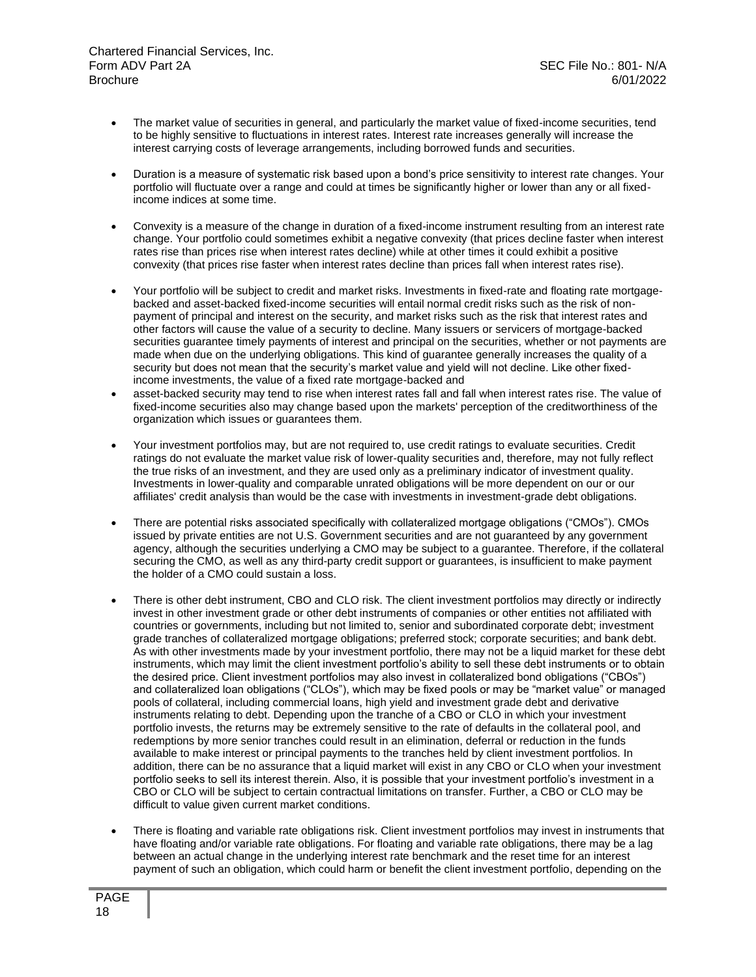- The market value of securities in general, and particularly the market value of fixed-income securities, tend to be highly sensitive to fluctuations in interest rates. Interest rate increases generally will increase the interest carrying costs of leverage arrangements, including borrowed funds and securities.
- Duration is a measure of systematic risk based upon a bond's price sensitivity to interest rate changes. Your portfolio will fluctuate over a range and could at times be significantly higher or lower than any or all fixedincome indices at some time.
- Convexity is a measure of the change in duration of a fixed-income instrument resulting from an interest rate change. Your portfolio could sometimes exhibit a negative convexity (that prices decline faster when interest rates rise than prices rise when interest rates decline) while at other times it could exhibit a positive convexity (that prices rise faster when interest rates decline than prices fall when interest rates rise).
- Your portfolio will be subject to credit and market risks. Investments in fixed-rate and floating rate mortgagebacked and asset-backed fixed-income securities will entail normal credit risks such as the risk of nonpayment of principal and interest on the security, and market risks such as the risk that interest rates and other factors will cause the value of a security to decline. Many issuers or servicers of mortgage-backed securities guarantee timely payments of interest and principal on the securities, whether or not payments are made when due on the underlying obligations. This kind of guarantee generally increases the quality of a security but does not mean that the security's market value and yield will not decline. Like other fixedincome investments, the value of a fixed rate mortgage-backed and
- asset-backed security may tend to rise when interest rates fall and fall when interest rates rise. The value of fixed-income securities also may change based upon the markets' perception of the creditworthiness of the organization which issues or guarantees them.
- Your investment portfolios may, but are not required to, use credit ratings to evaluate securities. Credit ratings do not evaluate the market value risk of lower-quality securities and, therefore, may not fully reflect the true risks of an investment, and they are used only as a preliminary indicator of investment quality. Investments in lower-quality and comparable unrated obligations will be more dependent on our or our affiliates' credit analysis than would be the case with investments in investment-grade debt obligations.
- There are potential risks associated specifically with collateralized mortgage obligations ("CMOs"). CMOs issued by private entities are not U.S. Government securities and are not guaranteed by any government agency, although the securities underlying a CMO may be subject to a guarantee. Therefore, if the collateral securing the CMO, as well as any third-party credit support or guarantees, is insufficient to make payment the holder of a CMO could sustain a loss.
- There is other debt instrument, CBO and CLO risk. The client investment portfolios may directly or indirectly invest in other investment grade or other debt instruments of companies or other entities not affiliated with countries or governments, including but not limited to, senior and subordinated corporate debt; investment grade tranches of collateralized mortgage obligations; preferred stock; corporate securities; and bank debt. As with other investments made by your investment portfolio, there may not be a liquid market for these debt instruments, which may limit the client investment portfolio's ability to sell these debt instruments or to obtain the desired price. Client investment portfolios may also invest in collateralized bond obligations ("CBOs") and collateralized loan obligations ("CLOs"), which may be fixed pools or may be "market value" or managed pools of collateral, including commercial loans, high yield and investment grade debt and derivative instruments relating to debt. Depending upon the tranche of a CBO or CLO in which your investment portfolio invests, the returns may be extremely sensitive to the rate of defaults in the collateral pool, and redemptions by more senior tranches could result in an elimination, deferral or reduction in the funds available to make interest or principal payments to the tranches held by client investment portfolios. In addition, there can be no assurance that a liquid market will exist in any CBO or CLO when your investment portfolio seeks to sell its interest therein. Also, it is possible that your investment portfolio's investment in a CBO or CLO will be subject to certain contractual limitations on transfer. Further, a CBO or CLO may be difficult to value given current market conditions.
- There is floating and variable rate obligations risk. Client investment portfolios may invest in instruments that have floating and/or variable rate obligations. For floating and variable rate obligations, there may be a lag between an actual change in the underlying interest rate benchmark and the reset time for an interest payment of such an obligation, which could harm or benefit the client investment portfolio, depending on the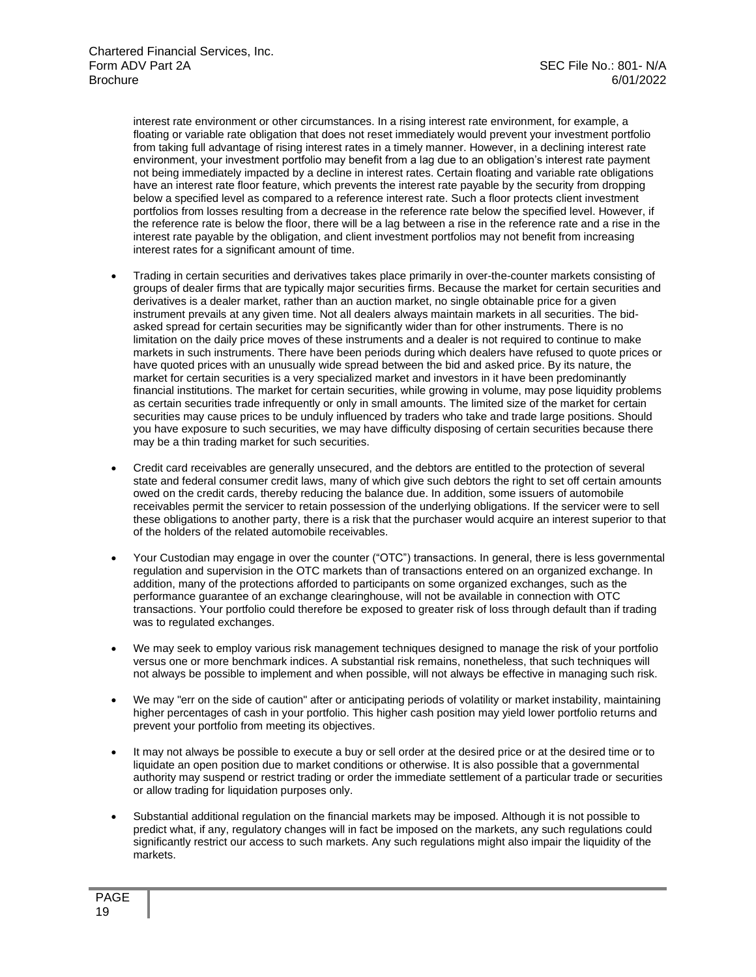interest rate environment or other circumstances. In a rising interest rate environment, for example, a floating or variable rate obligation that does not reset immediately would prevent your investment portfolio from taking full advantage of rising interest rates in a timely manner. However, in a declining interest rate environment, your investment portfolio may benefit from a lag due to an obligation's interest rate payment not being immediately impacted by a decline in interest rates. Certain floating and variable rate obligations have an interest rate floor feature, which prevents the interest rate payable by the security from dropping below a specified level as compared to a reference interest rate. Such a floor protects client investment portfolios from losses resulting from a decrease in the reference rate below the specified level. However, if the reference rate is below the floor, there will be a lag between a rise in the reference rate and a rise in the interest rate payable by the obligation, and client investment portfolios may not benefit from increasing interest rates for a significant amount of time.

- Trading in certain securities and derivatives takes place primarily in over-the-counter markets consisting of groups of dealer firms that are typically major securities firms. Because the market for certain securities and derivatives is a dealer market, rather than an auction market, no single obtainable price for a given instrument prevails at any given time. Not all dealers always maintain markets in all securities. The bidasked spread for certain securities may be significantly wider than for other instruments. There is no limitation on the daily price moves of these instruments and a dealer is not required to continue to make markets in such instruments. There have been periods during which dealers have refused to quote prices or have quoted prices with an unusually wide spread between the bid and asked price. By its nature, the market for certain securities is a very specialized market and investors in it have been predominantly financial institutions. The market for certain securities, while growing in volume, may pose liquidity problems as certain securities trade infrequently or only in small amounts. The limited size of the market for certain securities may cause prices to be unduly influenced by traders who take and trade large positions. Should you have exposure to such securities, we may have difficulty disposing of certain securities because there may be a thin trading market for such securities.
- Credit card receivables are generally unsecured, and the debtors are entitled to the protection of several state and federal consumer credit laws, many of which give such debtors the right to set off certain amounts owed on the credit cards, thereby reducing the balance due. In addition, some issuers of automobile receivables permit the servicer to retain possession of the underlying obligations. If the servicer were to sell these obligations to another party, there is a risk that the purchaser would acquire an interest superior to that of the holders of the related automobile receivables.
- Your Custodian may engage in over the counter ("OTC") transactions. In general, there is less governmental regulation and supervision in the OTC markets than of transactions entered on an organized exchange. In addition, many of the protections afforded to participants on some organized exchanges, such as the performance guarantee of an exchange clearinghouse, will not be available in connection with OTC transactions. Your portfolio could therefore be exposed to greater risk of loss through default than if trading was to regulated exchanges.
- We may seek to employ various risk management techniques designed to manage the risk of your portfolio versus one or more benchmark indices. A substantial risk remains, nonetheless, that such techniques will not always be possible to implement and when possible, will not always be effective in managing such risk.
- We may "err on the side of caution" after or anticipating periods of volatility or market instability, maintaining higher percentages of cash in your portfolio. This higher cash position may yield lower portfolio returns and prevent your portfolio from meeting its objectives.
- It may not always be possible to execute a buy or sell order at the desired price or at the desired time or to liquidate an open position due to market conditions or otherwise. It is also possible that a governmental authority may suspend or restrict trading or order the immediate settlement of a particular trade or securities or allow trading for liquidation purposes only.
- Substantial additional regulation on the financial markets may be imposed. Although it is not possible to predict what, if any, regulatory changes will in fact be imposed on the markets, any such regulations could significantly restrict our access to such markets. Any such regulations might also impair the liquidity of the markets.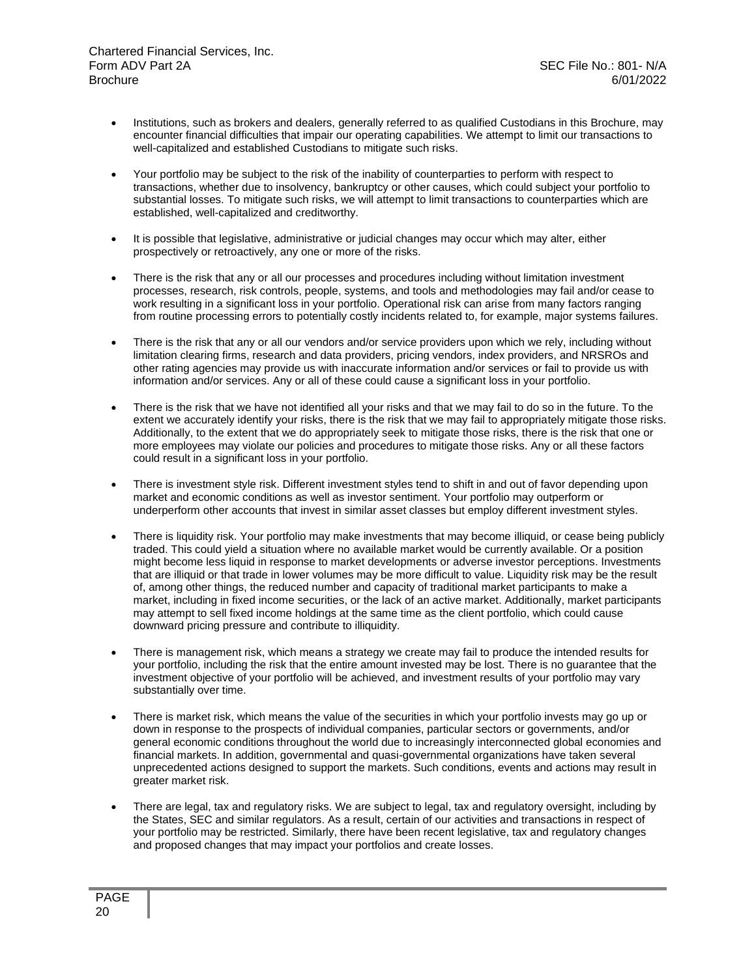- Institutions, such as brokers and dealers, generally referred to as qualified Custodians in this Brochure, may encounter financial difficulties that impair our operating capabilities. We attempt to limit our transactions to well-capitalized and established Custodians to mitigate such risks.
- Your portfolio may be subject to the risk of the inability of counterparties to perform with respect to transactions, whether due to insolvency, bankruptcy or other causes, which could subject your portfolio to substantial losses. To mitigate such risks, we will attempt to limit transactions to counterparties which are established, well-capitalized and creditworthy.
- It is possible that legislative, administrative or judicial changes may occur which may alter, either prospectively or retroactively, any one or more of the risks.
- There is the risk that any or all our processes and procedures including without limitation investment processes, research, risk controls, people, systems, and tools and methodologies may fail and/or cease to work resulting in a significant loss in your portfolio. Operational risk can arise from many factors ranging from routine processing errors to potentially costly incidents related to, for example, major systems failures.
- There is the risk that any or all our vendors and/or service providers upon which we rely, including without limitation clearing firms, research and data providers, pricing vendors, index providers, and NRSROs and other rating agencies may provide us with inaccurate information and/or services or fail to provide us with information and/or services. Any or all of these could cause a significant loss in your portfolio.
- There is the risk that we have not identified all your risks and that we may fail to do so in the future. To the extent we accurately identify your risks, there is the risk that we may fail to appropriately mitigate those risks. Additionally, to the extent that we do appropriately seek to mitigate those risks, there is the risk that one or more employees may violate our policies and procedures to mitigate those risks. Any or all these factors could result in a significant loss in your portfolio.
- There is investment style risk. Different investment styles tend to shift in and out of favor depending upon market and economic conditions as well as investor sentiment. Your portfolio may outperform or underperform other accounts that invest in similar asset classes but employ different investment styles.
- There is liquidity risk. Your portfolio may make investments that may become illiquid, or cease being publicly traded. This could yield a situation where no available market would be currently available. Or a position might become less liquid in response to market developments or adverse investor perceptions. Investments that are illiquid or that trade in lower volumes may be more difficult to value. Liquidity risk may be the result of, among other things, the reduced number and capacity of traditional market participants to make a market, including in fixed income securities, or the lack of an active market. Additionally, market participants may attempt to sell fixed income holdings at the same time as the client portfolio, which could cause downward pricing pressure and contribute to illiquidity.
- There is management risk, which means a strategy we create may fail to produce the intended results for your portfolio, including the risk that the entire amount invested may be lost. There is no guarantee that the investment objective of your portfolio will be achieved, and investment results of your portfolio may vary substantially over time.
- There is market risk, which means the value of the securities in which your portfolio invests may go up or down in response to the prospects of individual companies, particular sectors or governments, and/or general economic conditions throughout the world due to increasingly interconnected global economies and financial markets. In addition, governmental and quasi-governmental organizations have taken several unprecedented actions designed to support the markets. Such conditions, events and actions may result in greater market risk.
- There are legal, tax and regulatory risks. We are subject to legal, tax and regulatory oversight, including by the States, SEC and similar regulators. As a result, certain of our activities and transactions in respect of your portfolio may be restricted. Similarly, there have been recent legislative, tax and regulatory changes and proposed changes that may impact your portfolios and create losses.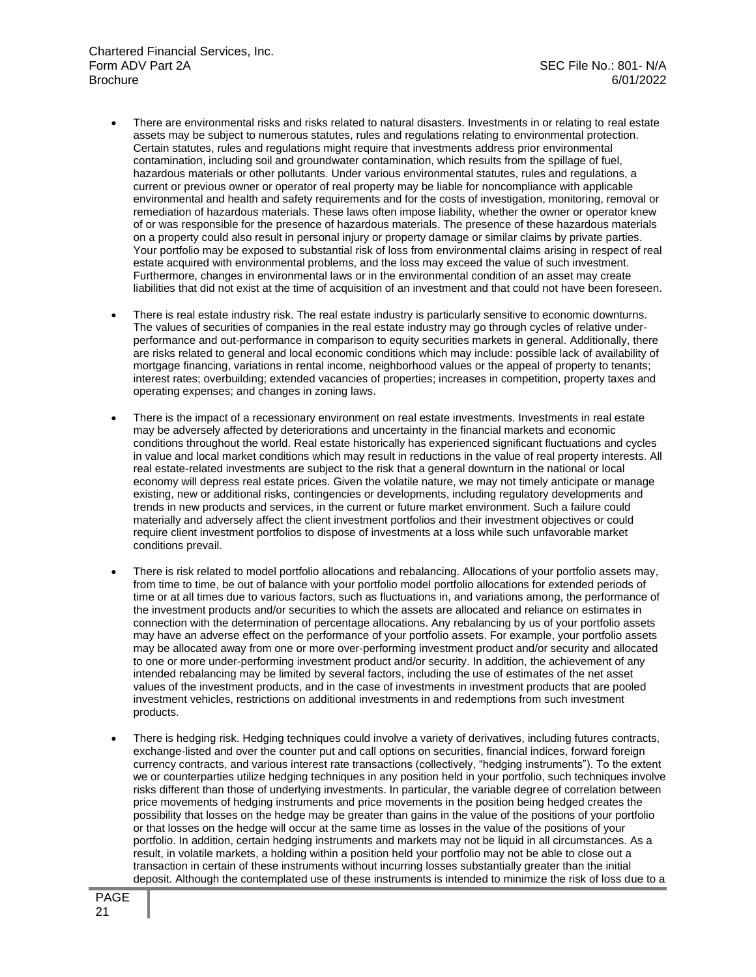- There are environmental risks and risks related to natural disasters. Investments in or relating to real estate assets may be subject to numerous statutes, rules and regulations relating to environmental protection. Certain statutes, rules and regulations might require that investments address prior environmental contamination, including soil and groundwater contamination, which results from the spillage of fuel, hazardous materials or other pollutants. Under various environmental statutes, rules and regulations, a current or previous owner or operator of real property may be liable for noncompliance with applicable environmental and health and safety requirements and for the costs of investigation, monitoring, removal or remediation of hazardous materials. These laws often impose liability, whether the owner or operator knew of or was responsible for the presence of hazardous materials. The presence of these hazardous materials on a property could also result in personal injury or property damage or similar claims by private parties. Your portfolio may be exposed to substantial risk of loss from environmental claims arising in respect of real estate acquired with environmental problems, and the loss may exceed the value of such investment. Furthermore, changes in environmental laws or in the environmental condition of an asset may create liabilities that did not exist at the time of acquisition of an investment and that could not have been foreseen.
- There is real estate industry risk. The real estate industry is particularly sensitive to economic downturns. The values of securities of companies in the real estate industry may go through cycles of relative underperformance and out-performance in comparison to equity securities markets in general. Additionally, there are risks related to general and local economic conditions which may include: possible lack of availability of mortgage financing, variations in rental income, neighborhood values or the appeal of property to tenants; interest rates; overbuilding; extended vacancies of properties; increases in competition, property taxes and operating expenses; and changes in zoning laws.
- There is the impact of a recessionary environment on real estate investments. Investments in real estate may be adversely affected by deteriorations and uncertainty in the financial markets and economic conditions throughout the world. Real estate historically has experienced significant fluctuations and cycles in value and local market conditions which may result in reductions in the value of real property interests. All real estate-related investments are subject to the risk that a general downturn in the national or local economy will depress real estate prices. Given the volatile nature, we may not timely anticipate or manage existing, new or additional risks, contingencies or developments, including regulatory developments and trends in new products and services, in the current or future market environment. Such a failure could materially and adversely affect the client investment portfolios and their investment objectives or could require client investment portfolios to dispose of investments at a loss while such unfavorable market conditions prevail.
- There is risk related to model portfolio allocations and rebalancing. Allocations of your portfolio assets may, from time to time, be out of balance with your portfolio model portfolio allocations for extended periods of time or at all times due to various factors, such as fluctuations in, and variations among, the performance of the investment products and/or securities to which the assets are allocated and reliance on estimates in connection with the determination of percentage allocations. Any rebalancing by us of your portfolio assets may have an adverse effect on the performance of your portfolio assets. For example, your portfolio assets may be allocated away from one or more over-performing investment product and/or security and allocated to one or more under-performing investment product and/or security. In addition, the achievement of any intended rebalancing may be limited by several factors, including the use of estimates of the net asset values of the investment products, and in the case of investments in investment products that are pooled investment vehicles, restrictions on additional investments in and redemptions from such investment products.
- There is hedging risk. Hedging techniques could involve a variety of derivatives, including futures contracts, exchange-listed and over the counter put and call options on securities, financial indices, forward foreign currency contracts, and various interest rate transactions (collectively, "hedging instruments"). To the extent we or counterparties utilize hedging techniques in any position held in your portfolio, such techniques involve risks different than those of underlying investments. In particular, the variable degree of correlation between price movements of hedging instruments and price movements in the position being hedged creates the possibility that losses on the hedge may be greater than gains in the value of the positions of your portfolio or that losses on the hedge will occur at the same time as losses in the value of the positions of your portfolio. In addition, certain hedging instruments and markets may not be liquid in all circumstances. As a result, in volatile markets, a holding within a position held your portfolio may not be able to close out a transaction in certain of these instruments without incurring losses substantially greater than the initial deposit. Although the contemplated use of these instruments is intended to minimize the risk of loss due to a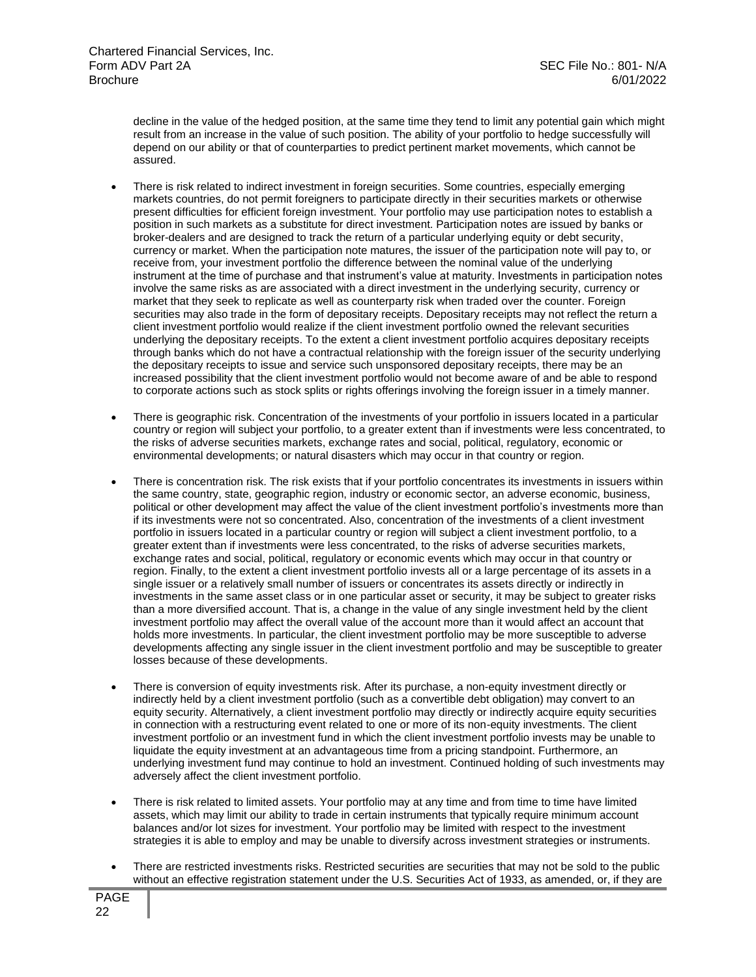decline in the value of the hedged position, at the same time they tend to limit any potential gain which might result from an increase in the value of such position. The ability of your portfolio to hedge successfully will depend on our ability or that of counterparties to predict pertinent market movements, which cannot be assured.

- There is risk related to indirect investment in foreign securities. Some countries, especially emerging markets countries, do not permit foreigners to participate directly in their securities markets or otherwise present difficulties for efficient foreign investment. Your portfolio may use participation notes to establish a position in such markets as a substitute for direct investment. Participation notes are issued by banks or broker-dealers and are designed to track the return of a particular underlying equity or debt security, currency or market. When the participation note matures, the issuer of the participation note will pay to, or receive from, your investment portfolio the difference between the nominal value of the underlying instrument at the time of purchase and that instrument's value at maturity. Investments in participation notes involve the same risks as are associated with a direct investment in the underlying security, currency or market that they seek to replicate as well as counterparty risk when traded over the counter. Foreign securities may also trade in the form of depositary receipts. Depositary receipts may not reflect the return a client investment portfolio would realize if the client investment portfolio owned the relevant securities underlying the depositary receipts. To the extent a client investment portfolio acquires depositary receipts through banks which do not have a contractual relationship with the foreign issuer of the security underlying the depositary receipts to issue and service such unsponsored depositary receipts, there may be an increased possibility that the client investment portfolio would not become aware of and be able to respond to corporate actions such as stock splits or rights offerings involving the foreign issuer in a timely manner.
- There is geographic risk. Concentration of the investments of your portfolio in issuers located in a particular country or region will subject your portfolio, to a greater extent than if investments were less concentrated, to the risks of adverse securities markets, exchange rates and social, political, regulatory, economic or environmental developments; or natural disasters which may occur in that country or region.
- There is concentration risk. The risk exists that if your portfolio concentrates its investments in issuers within the same country, state, geographic region, industry or economic sector, an adverse economic, business, political or other development may affect the value of the client investment portfolio's investments more than if its investments were not so concentrated. Also, concentration of the investments of a client investment portfolio in issuers located in a particular country or region will subject a client investment portfolio, to a greater extent than if investments were less concentrated, to the risks of adverse securities markets, exchange rates and social, political, regulatory or economic events which may occur in that country or region. Finally, to the extent a client investment portfolio invests all or a large percentage of its assets in a single issuer or a relatively small number of issuers or concentrates its assets directly or indirectly in investments in the same asset class or in one particular asset or security, it may be subject to greater risks than a more diversified account. That is, a change in the value of any single investment held by the client investment portfolio may affect the overall value of the account more than it would affect an account that holds more investments. In particular, the client investment portfolio may be more susceptible to adverse developments affecting any single issuer in the client investment portfolio and may be susceptible to greater losses because of these developments.
- There is conversion of equity investments risk. After its purchase, a non-equity investment directly or indirectly held by a client investment portfolio (such as a convertible debt obligation) may convert to an equity security. Alternatively, a client investment portfolio may directly or indirectly acquire equity securities in connection with a restructuring event related to one or more of its non-equity investments. The client investment portfolio or an investment fund in which the client investment portfolio invests may be unable to liquidate the equity investment at an advantageous time from a pricing standpoint. Furthermore, an underlying investment fund may continue to hold an investment. Continued holding of such investments may adversely affect the client investment portfolio.
- There is risk related to limited assets. Your portfolio may at any time and from time to time have limited assets, which may limit our ability to trade in certain instruments that typically require minimum account balances and/or lot sizes for investment. Your portfolio may be limited with respect to the investment strategies it is able to employ and may be unable to diversify across investment strategies or instruments.
- There are restricted investments risks. Restricted securities are securities that may not be sold to the public without an effective registration statement under the U.S. Securities Act of 1933, as amended, or, if they are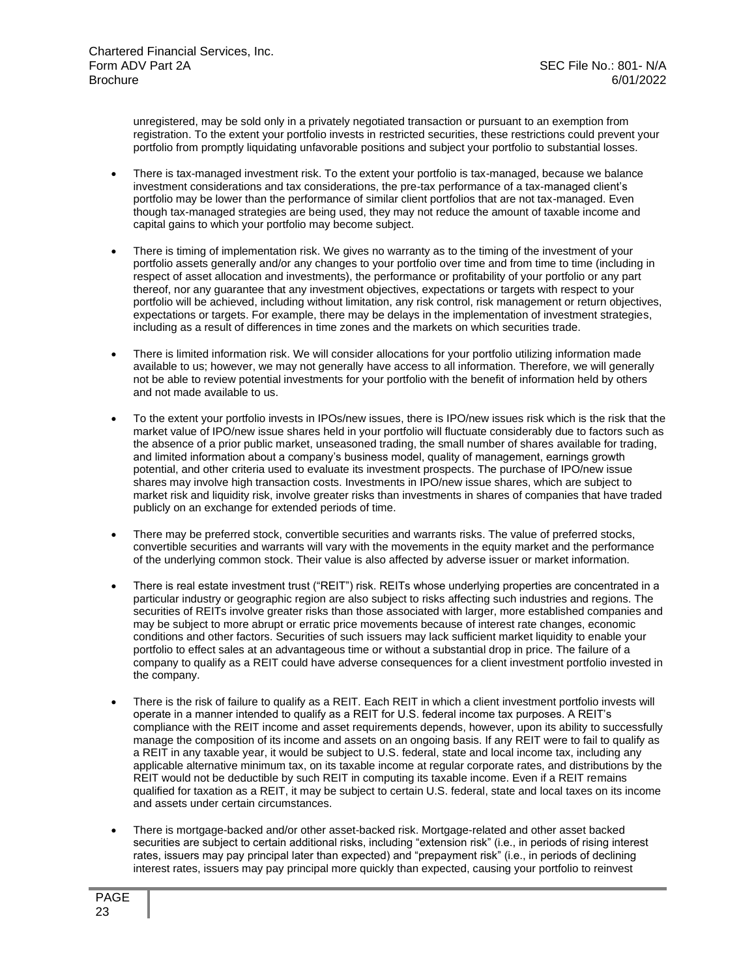unregistered, may be sold only in a privately negotiated transaction or pursuant to an exemption from registration. To the extent your portfolio invests in restricted securities, these restrictions could prevent your portfolio from promptly liquidating unfavorable positions and subject your portfolio to substantial losses.

- There is tax-managed investment risk. To the extent your portfolio is tax-managed, because we balance investment considerations and tax considerations, the pre-tax performance of a tax-managed client's portfolio may be lower than the performance of similar client portfolios that are not tax-managed. Even though tax-managed strategies are being used, they may not reduce the amount of taxable income and capital gains to which your portfolio may become subject.
- There is timing of implementation risk. We gives no warranty as to the timing of the investment of your portfolio assets generally and/or any changes to your portfolio over time and from time to time (including in respect of asset allocation and investments), the performance or profitability of your portfolio or any part thereof, nor any guarantee that any investment objectives, expectations or targets with respect to your portfolio will be achieved, including without limitation, any risk control, risk management or return objectives, expectations or targets. For example, there may be delays in the implementation of investment strategies, including as a result of differences in time zones and the markets on which securities trade.
- There is limited information risk. We will consider allocations for your portfolio utilizing information made available to us; however, we may not generally have access to all information. Therefore, we will generally not be able to review potential investments for your portfolio with the benefit of information held by others and not made available to us.
- To the extent your portfolio invests in IPOs/new issues, there is IPO/new issues risk which is the risk that the market value of IPO/new issue shares held in your portfolio will fluctuate considerably due to factors such as the absence of a prior public market, unseasoned trading, the small number of shares available for trading, and limited information about a company's business model, quality of management, earnings growth potential, and other criteria used to evaluate its investment prospects. The purchase of IPO/new issue shares may involve high transaction costs. Investments in IPO/new issue shares, which are subject to market risk and liquidity risk, involve greater risks than investments in shares of companies that have traded publicly on an exchange for extended periods of time.
- There may be preferred stock, convertible securities and warrants risks. The value of preferred stocks, convertible securities and warrants will vary with the movements in the equity market and the performance of the underlying common stock. Their value is also affected by adverse issuer or market information.
- There is real estate investment trust ("REIT") risk. REITs whose underlying properties are concentrated in a particular industry or geographic region are also subject to risks affecting such industries and regions. The securities of REITs involve greater risks than those associated with larger, more established companies and may be subject to more abrupt or erratic price movements because of interest rate changes, economic conditions and other factors. Securities of such issuers may lack sufficient market liquidity to enable your portfolio to effect sales at an advantageous time or without a substantial drop in price. The failure of a company to qualify as a REIT could have adverse consequences for a client investment portfolio invested in the company.
- There is the risk of failure to qualify as a REIT. Each REIT in which a client investment portfolio invests will operate in a manner intended to qualify as a REIT for U.S. federal income tax purposes. A REIT's compliance with the REIT income and asset requirements depends, however, upon its ability to successfully manage the composition of its income and assets on an ongoing basis. If any REIT were to fail to qualify as a REIT in any taxable year, it would be subject to U.S. federal, state and local income tax, including any applicable alternative minimum tax, on its taxable income at regular corporate rates, and distributions by the REIT would not be deductible by such REIT in computing its taxable income. Even if a REIT remains qualified for taxation as a REIT, it may be subject to certain U.S. federal, state and local taxes on its income and assets under certain circumstances.
- There is mortgage-backed and/or other asset-backed risk. Mortgage-related and other asset backed securities are subject to certain additional risks, including "extension risk" (i.e., in periods of rising interest rates, issuers may pay principal later than expected) and "prepayment risk" (i.e., in periods of declining interest rates, issuers may pay principal more quickly than expected, causing your portfolio to reinvest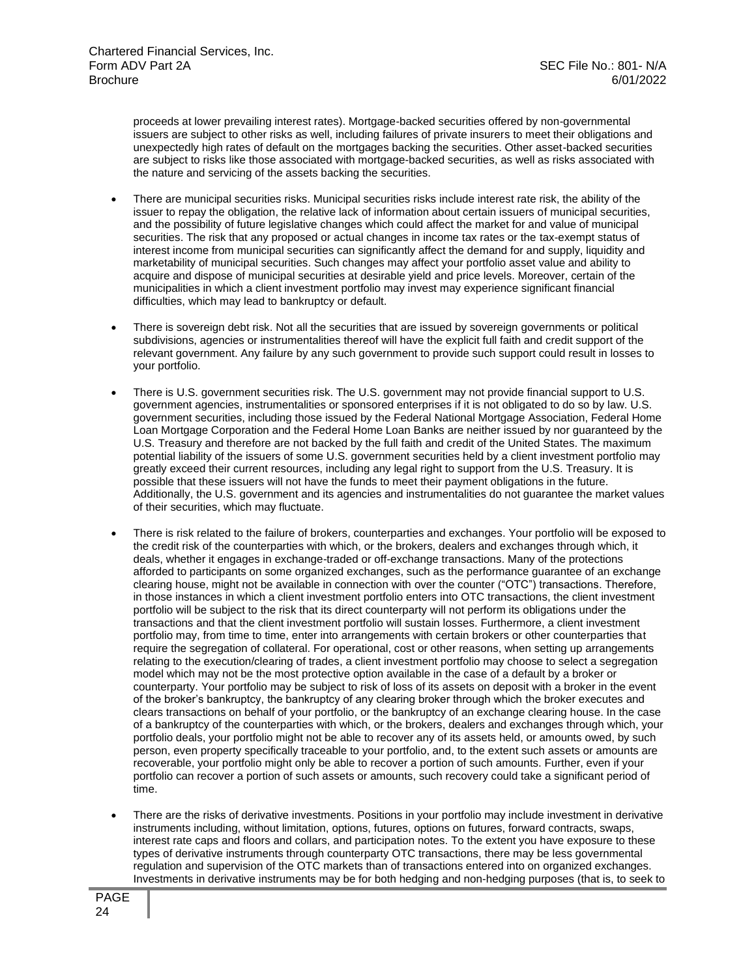proceeds at lower prevailing interest rates). Mortgage-backed securities offered by non-governmental issuers are subject to other risks as well, including failures of private insurers to meet their obligations and unexpectedly high rates of default on the mortgages backing the securities. Other asset-backed securities are subject to risks like those associated with mortgage-backed securities, as well as risks associated with the nature and servicing of the assets backing the securities.

- There are municipal securities risks. Municipal securities risks include interest rate risk, the ability of the issuer to repay the obligation, the relative lack of information about certain issuers of municipal securities, and the possibility of future legislative changes which could affect the market for and value of municipal securities. The risk that any proposed or actual changes in income tax rates or the tax-exempt status of interest income from municipal securities can significantly affect the demand for and supply, liquidity and marketability of municipal securities. Such changes may affect your portfolio asset value and ability to acquire and dispose of municipal securities at desirable yield and price levels. Moreover, certain of the municipalities in which a client investment portfolio may invest may experience significant financial difficulties, which may lead to bankruptcy or default.
- There is sovereign debt risk. Not all the securities that are issued by sovereign governments or political subdivisions, agencies or instrumentalities thereof will have the explicit full faith and credit support of the relevant government. Any failure by any such government to provide such support could result in losses to your portfolio.
- There is U.S. government securities risk. The U.S. government may not provide financial support to U.S. government agencies, instrumentalities or sponsored enterprises if it is not obligated to do so by law. U.S. government securities, including those issued by the Federal National Mortgage Association, Federal Home Loan Mortgage Corporation and the Federal Home Loan Banks are neither issued by nor guaranteed by the U.S. Treasury and therefore are not backed by the full faith and credit of the United States. The maximum potential liability of the issuers of some U.S. government securities held by a client investment portfolio may greatly exceed their current resources, including any legal right to support from the U.S. Treasury. It is possible that these issuers will not have the funds to meet their payment obligations in the future. Additionally, the U.S. government and its agencies and instrumentalities do not guarantee the market values of their securities, which may fluctuate.
- There is risk related to the failure of brokers, counterparties and exchanges. Your portfolio will be exposed to the credit risk of the counterparties with which, or the brokers, dealers and exchanges through which, it deals, whether it engages in exchange-traded or off-exchange transactions. Many of the protections afforded to participants on some organized exchanges, such as the performance guarantee of an exchange clearing house, might not be available in connection with over the counter ("OTC") transactions. Therefore, in those instances in which a client investment portfolio enters into OTC transactions, the client investment portfolio will be subject to the risk that its direct counterparty will not perform its obligations under the transactions and that the client investment portfolio will sustain losses. Furthermore, a client investment portfolio may, from time to time, enter into arrangements with certain brokers or other counterparties that require the segregation of collateral. For operational, cost or other reasons, when setting up arrangements relating to the execution/clearing of trades, a client investment portfolio may choose to select a segregation model which may not be the most protective option available in the case of a default by a broker or counterparty. Your portfolio may be subject to risk of loss of its assets on deposit with a broker in the event of the broker's bankruptcy, the bankruptcy of any clearing broker through which the broker executes and clears transactions on behalf of your portfolio, or the bankruptcy of an exchange clearing house. In the case of a bankruptcy of the counterparties with which, or the brokers, dealers and exchanges through which, your portfolio deals, your portfolio might not be able to recover any of its assets held, or amounts owed, by such person, even property specifically traceable to your portfolio, and, to the extent such assets or amounts are recoverable, your portfolio might only be able to recover a portion of such amounts. Further, even if your portfolio can recover a portion of such assets or amounts, such recovery could take a significant period of time.
- There are the risks of derivative investments. Positions in your portfolio may include investment in derivative instruments including, without limitation, options, futures, options on futures, forward contracts, swaps, interest rate caps and floors and collars, and participation notes. To the extent you have exposure to these types of derivative instruments through counterparty OTC transactions, there may be less governmental regulation and supervision of the OTC markets than of transactions entered into on organized exchanges. Investments in derivative instruments may be for both hedging and non-hedging purposes (that is, to seek to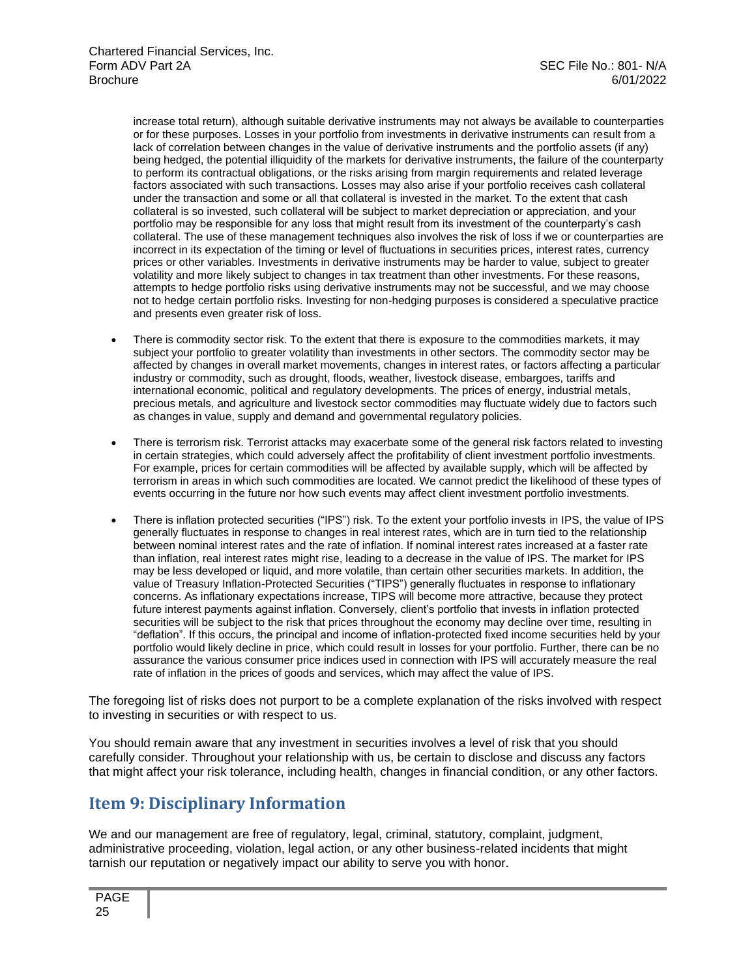increase total return), although suitable derivative instruments may not always be available to counterparties or for these purposes. Losses in your portfolio from investments in derivative instruments can result from a lack of correlation between changes in the value of derivative instruments and the portfolio assets (if any) being hedged, the potential illiquidity of the markets for derivative instruments, the failure of the counterparty to perform its contractual obligations, or the risks arising from margin requirements and related leverage factors associated with such transactions. Losses may also arise if your portfolio receives cash collateral under the transaction and some or all that collateral is invested in the market. To the extent that cash collateral is so invested, such collateral will be subject to market depreciation or appreciation, and your portfolio may be responsible for any loss that might result from its investment of the counterparty's cash collateral. The use of these management techniques also involves the risk of loss if we or counterparties are incorrect in its expectation of the timing or level of fluctuations in securities prices, interest rates, currency prices or other variables. Investments in derivative instruments may be harder to value, subject to greater volatility and more likely subject to changes in tax treatment than other investments. For these reasons, attempts to hedge portfolio risks using derivative instruments may not be successful, and we may choose not to hedge certain portfolio risks. Investing for non-hedging purposes is considered a speculative practice and presents even greater risk of loss.

- There is commodity sector risk. To the extent that there is exposure to the commodities markets, it may subject your portfolio to greater volatility than investments in other sectors. The commodity sector may be affected by changes in overall market movements, changes in interest rates, or factors affecting a particular industry or commodity, such as drought, floods, weather, livestock disease, embargoes, tariffs and international economic, political and regulatory developments. The prices of energy, industrial metals, precious metals, and agriculture and livestock sector commodities may fluctuate widely due to factors such as changes in value, supply and demand and governmental regulatory policies.
- There is terrorism risk. Terrorist attacks may exacerbate some of the general risk factors related to investing in certain strategies, which could adversely affect the profitability of client investment portfolio investments. For example, prices for certain commodities will be affected by available supply, which will be affected by terrorism in areas in which such commodities are located. We cannot predict the likelihood of these types of events occurring in the future nor how such events may affect client investment portfolio investments.
- There is inflation protected securities ("IPS") risk. To the extent your portfolio invests in IPS, the value of IPS generally fluctuates in response to changes in real interest rates, which are in turn tied to the relationship between nominal interest rates and the rate of inflation. If nominal interest rates increased at a faster rate than inflation, real interest rates might rise, leading to a decrease in the value of IPS. The market for IPS may be less developed or liquid, and more volatile, than certain other securities markets. In addition, the value of Treasury Inflation-Protected Securities ("TIPS") generally fluctuates in response to inflationary concerns. As inflationary expectations increase, TIPS will become more attractive, because they protect future interest payments against inflation. Conversely, client's portfolio that invests in inflation protected securities will be subject to the risk that prices throughout the economy may decline over time, resulting in "deflation". If this occurs, the principal and income of inflation-protected fixed income securities held by your portfolio would likely decline in price, which could result in losses for your portfolio. Further, there can be no assurance the various consumer price indices used in connection with IPS will accurately measure the real rate of inflation in the prices of goods and services, which may affect the value of IPS.

The foregoing list of risks does not purport to be a complete explanation of the risks involved with respect to investing in securities or with respect to us.

You should remain aware that any investment in securities involves a level of risk that you should carefully consider. Throughout your relationship with us, be certain to disclose and discuss any factors that might affect your risk tolerance, including health, changes in financial condition, or any other factors.

## **Item 9: Disciplinary Information**

We and our management are free of regulatory, legal, criminal, statutory, complaint, judgment, administrative proceeding, violation, legal action, or any other business-related incidents that might tarnish our reputation or negatively impact our ability to serve you with honor.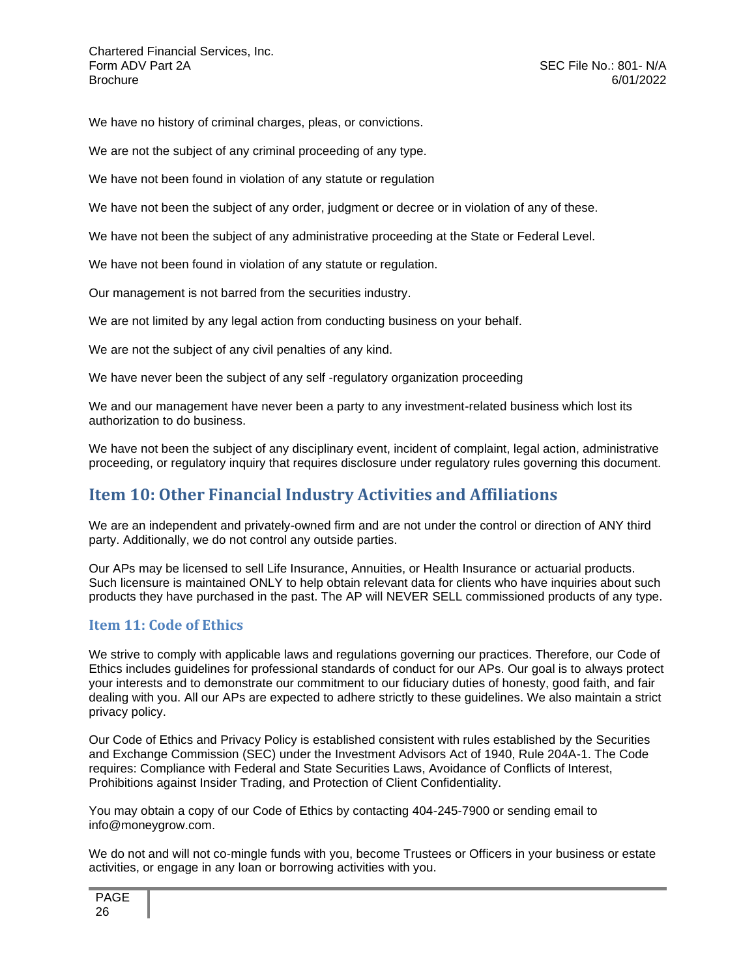We have no history of criminal charges, pleas, or convictions.

We are not the subject of any criminal proceeding of any type.

We have not been found in violation of any statute or regulation

We have not been the subject of any order, judgment or decree or in violation of any of these.

We have not been the subject of any administrative proceeding at the State or Federal Level.

We have not been found in violation of any statute or regulation.

Our management is not barred from the securities industry.

We are not limited by any legal action from conducting business on your behalf.

We are not the subject of any civil penalties of any kind.

We have never been the subject of any self -regulatory organization proceeding

We and our management have never been a party to any investment-related business which lost its authorization to do business.

We have not been the subject of any disciplinary event, incident of complaint, legal action, administrative proceeding, or regulatory inquiry that requires disclosure under regulatory rules governing this document.

## <span id="page-25-0"></span>**Item 10: Other Financial Industry Activities and Affiliations**

We are an independent and privately-owned firm and are not under the control or direction of ANY third party. Additionally, we do not control any outside parties.

Our APs may be licensed to sell Life Insurance, Annuities, or Health Insurance or actuarial products. Such licensure is maintained ONLY to help obtain relevant data for clients who have inquiries about such products they have purchased in the past. The AP will NEVER SELL commissioned products of any type.

#### <span id="page-25-1"></span>**Item 11: Code of Ethics**

We strive to comply with applicable laws and regulations governing our practices. Therefore, our Code of Ethics includes guidelines for professional standards of conduct for our APs. Our goal is to always protect your interests and to demonstrate our commitment to our fiduciary duties of honesty, good faith, and fair dealing with you. All our APs are expected to adhere strictly to these guidelines. We also maintain a strict privacy policy.

Our Code of Ethics and Privacy Policy is established consistent with rules established by the Securities and Exchange Commission (SEC) under the Investment Advisors Act of 1940, Rule 204A-1. The Code requires: Compliance with Federal and State Securities Laws, Avoidance of Conflicts of Interest, Prohibitions against Insider Trading, and Protection of Client Confidentiality.

You may obtain a copy of our Code of Ethics by contacting 404-245-7900 or sending email to info@moneygrow.com.

We do not and will not co-mingle funds with you, become Trustees or Officers in your business or estate activities, or engage in any loan or borrowing activities with you.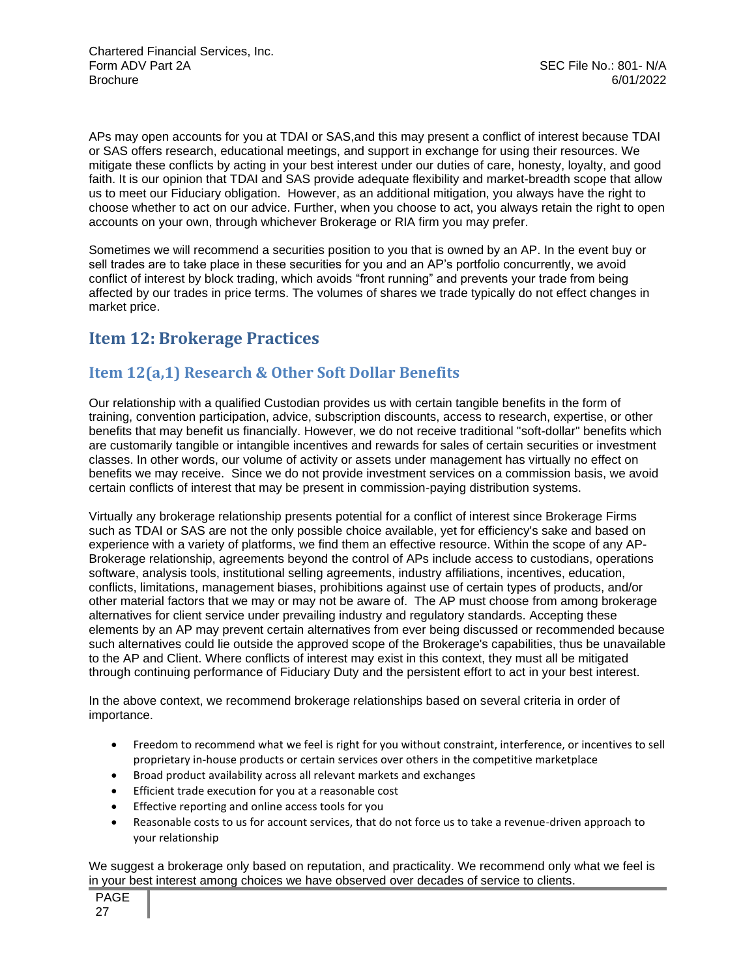APs may open accounts for you at TDAI or SAS,and this may present a conflict of interest because TDAI or SAS offers research, educational meetings, and support in exchange for using their resources. We mitigate these conflicts by acting in your best interest under our duties of care, honesty, loyalty, and good faith. It is our opinion that TDAI and SAS provide adequate flexibility and market-breadth scope that allow us to meet our Fiduciary obligation. However, as an additional mitigation, you always have the right to choose whether to act on our advice. Further, when you choose to act, you always retain the right to open accounts on your own, through whichever Brokerage or RIA firm you may prefer.

Sometimes we will recommend a securities position to you that is owned by an AP. In the event buy or sell trades are to take place in these securities for you and an AP's portfolio concurrently, we avoid conflict of interest by block trading, which avoids "front running" and prevents your trade from being affected by our trades in price terms. The volumes of shares we trade typically do not effect changes in market price.

## <span id="page-26-0"></span>**Item 12: Brokerage Practices**

## **Item 12(a,1) Research & Other Soft Dollar Benefits**

Our relationship with a qualified Custodian provides us with certain tangible benefits in the form of training, convention participation, advice, subscription discounts, access to research, expertise, or other benefits that may benefit us financially. However, we do not receive traditional "soft-dollar" benefits which are customarily tangible or intangible incentives and rewards for sales of certain securities or investment classes. In other words, our volume of activity or assets under management has virtually no effect on benefits we may receive. Since we do not provide investment services on a commission basis, we avoid certain conflicts of interest that may be present in commission-paying distribution systems.

Virtually any brokerage relationship presents potential for a conflict of interest since Brokerage Firms such as TDAI or SAS are not the only possible choice available, yet for efficiency's sake and based on experience with a variety of platforms, we find them an effective resource. Within the scope of any AP-Brokerage relationship, agreements beyond the control of APs include access to custodians, operations software, analysis tools, institutional selling agreements, industry affiliations, incentives, education, conflicts, limitations, management biases, prohibitions against use of certain types of products, and/or other material factors that we may or may not be aware of. The AP must choose from among brokerage alternatives for client service under prevailing industry and regulatory standards. Accepting these elements by an AP may prevent certain alternatives from ever being discussed or recommended because such alternatives could lie outside the approved scope of the Brokerage's capabilities, thus be unavailable to the AP and Client. Where conflicts of interest may exist in this context, they must all be mitigated through continuing performance of Fiduciary Duty and the persistent effort to act in your best interest.

In the above context, we recommend brokerage relationships based on several criteria in order of importance.

- Freedom to recommend what we feel is right for you without constraint, interference, or incentives to sell proprietary in-house products or certain services over others in the competitive marketplace
- Broad product availability across all relevant markets and exchanges
- Efficient trade execution for you at a reasonable cost
- Effective reporting and online access tools for you
- Reasonable costs to us for account services, that do not force us to take a revenue-driven approach to your relationship

We suggest a brokerage only based on reputation, and practicality. We recommend only what we feel is in your best interest among choices we have observed over decades of service to clients.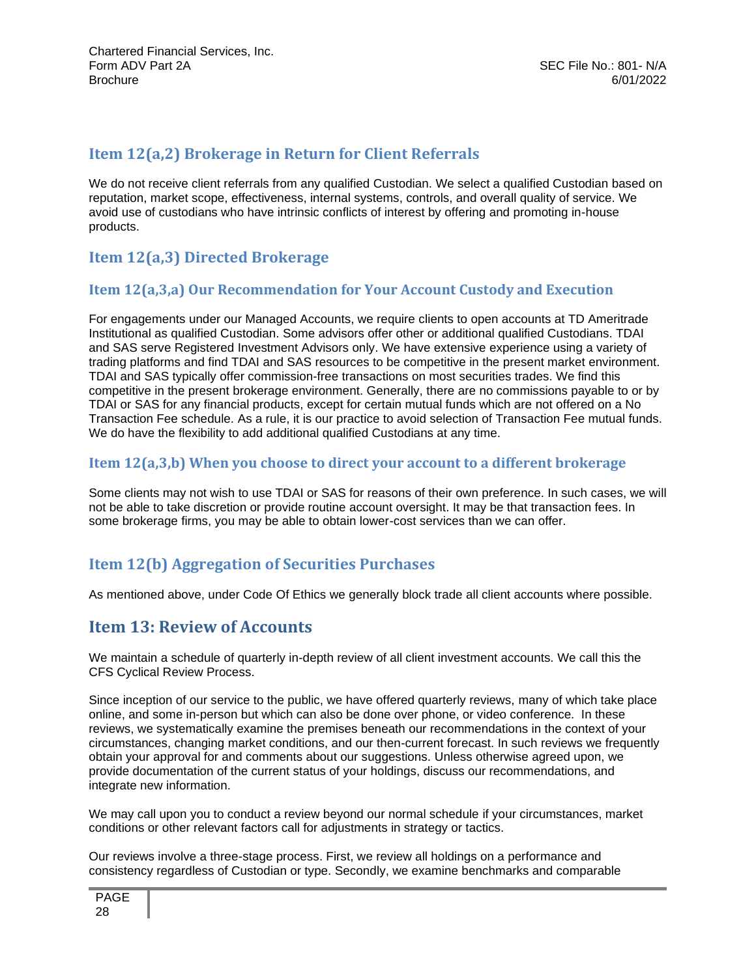### <span id="page-27-0"></span>**Item 12(a,2) Brokerage in Return for Client Referrals**

We do not receive client referrals from any qualified Custodian. We select a qualified Custodian based on reputation, market scope, effectiveness, internal systems, controls, and overall quality of service. We avoid use of custodians who have intrinsic conflicts of interest by offering and promoting in-house products.

## **Item 12(a,3) Directed Brokerage**

#### **Item 12(a,3,a) Our Recommendation for Your Account Custody and Execution**

For engagements under our Managed Accounts, we require clients to open accounts at TD Ameritrade Institutional as qualified Custodian. Some advisors offer other or additional qualified Custodians. TDAI and SAS serve Registered Investment Advisors only. We have extensive experience using a variety of trading platforms and find TDAI and SAS resources to be competitive in the present market environment. TDAI and SAS typically offer commission-free transactions on most securities trades. We find this competitive in the present brokerage environment. Generally, there are no commissions payable to or by TDAI or SAS for any financial products, except for certain mutual funds which are not offered on a No Transaction Fee schedule. As a rule, it is our practice to avoid selection of Transaction Fee mutual funds. We do have the flexibility to add additional qualified Custodians at any time.

#### **Item 12(a,3,b) When you choose to direct your account to a different brokerage**

Some clients may not wish to use TDAI or SAS for reasons of their own preference. In such cases, we will not be able to take discretion or provide routine account oversight. It may be that transaction fees. In some brokerage firms, you may be able to obtain lower-cost services than we can offer.

## <span id="page-27-1"></span>**Item 12(b) Aggregation of Securities Purchases**

As mentioned above, under Code Of Ethics we generally block trade all client accounts where possible.

### **Item 13: Review of Accounts**

We maintain a schedule of quarterly in-depth review of all client investment accounts. We call this the CFS Cyclical Review Process.

Since inception of our service to the public, we have offered quarterly reviews, many of which take place online, and some in-person but which can also be done over phone, or video conference. In these reviews, we systematically examine the premises beneath our recommendations in the context of your circumstances, changing market conditions, and our then-current forecast. In such reviews we frequently obtain your approval for and comments about our suggestions. Unless otherwise agreed upon, we provide documentation of the current status of your holdings, discuss our recommendations, and integrate new information.

We may call upon you to conduct a review beyond our normal schedule if your circumstances, market conditions or other relevant factors call for adjustments in strategy or tactics.

Our reviews involve a three-stage process. First, we review all holdings on a performance and consistency regardless of Custodian or type. Secondly, we examine benchmarks and comparable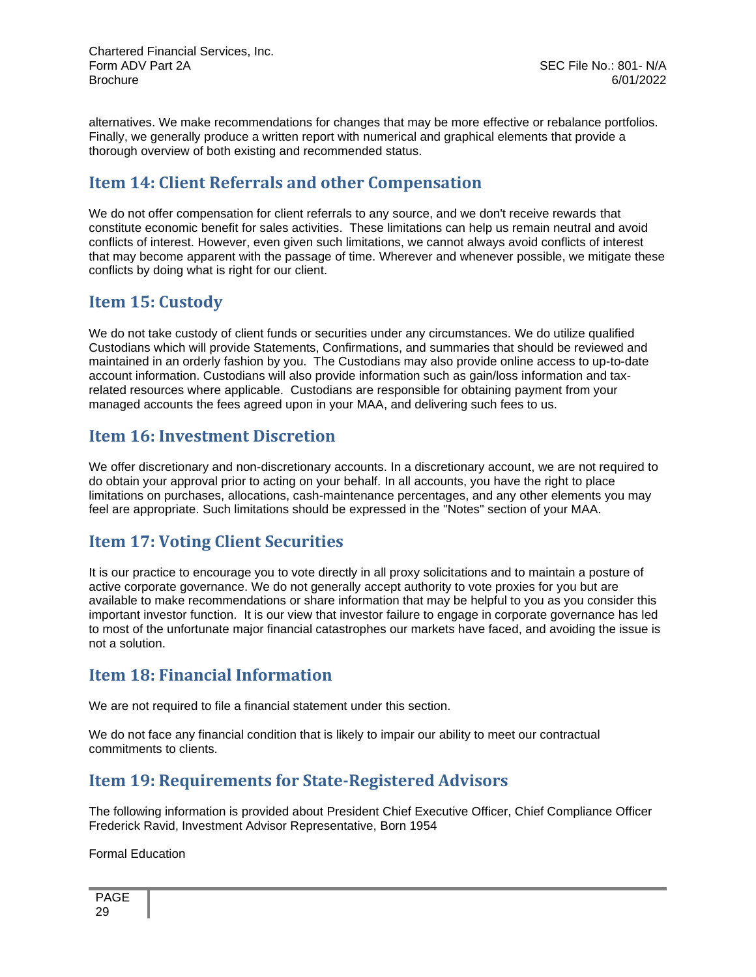alternatives. We make recommendations for changes that may be more effective or rebalance portfolios. Finally, we generally produce a written report with numerical and graphical elements that provide a thorough overview of both existing and recommended status.

## **Item 14: Client Referrals and other Compensation**

We do not offer compensation for client referrals to any source, and we don't receive rewards that constitute economic benefit for sales activities. These limitations can help us remain neutral and avoid conflicts of interest. However, even given such limitations, we cannot always avoid conflicts of interest that may become apparent with the passage of time. Wherever and whenever possible, we mitigate these conflicts by doing what is right for our client.

## <span id="page-28-0"></span>**Item 15: Custody**

We do not take custody of client funds or securities under any circumstances. We do utilize qualified Custodians which will provide Statements, Confirmations, and summaries that should be reviewed and maintained in an orderly fashion by you. The Custodians may also provide online access to up-to-date account information. Custodians will also provide information such as gain/loss information and taxrelated resources where applicable. Custodians are responsible for obtaining payment from your managed accounts the fees agreed upon in your MAA, and delivering such fees to us.

## **Item 16: Investment Discretion**

We offer discretionary and non-discretionary accounts. In a discretionary account, we are not required to do obtain your approval prior to acting on your behalf. In all accounts, you have the right to place limitations on purchases, allocations, cash-maintenance percentages, and any other elements you may feel are appropriate. Such limitations should be expressed in the "Notes" section of your MAA.

## **Item 17: Voting Client Securities**

It is our practice to encourage you to vote directly in all proxy solicitations and to maintain a posture of active corporate governance. We do not generally accept authority to vote proxies for you but are available to make recommendations or share information that may be helpful to you as you consider this important investor function. It is our view that investor failure to engage in corporate governance has led to most of the unfortunate major financial catastrophes our markets have faced, and avoiding the issue is not a solution.

### **Item 18: Financial Information**

We are not required to file a financial statement under this section.

We do not face any financial condition that is likely to impair our ability to meet our contractual commitments to clients.

## <span id="page-28-1"></span>**Item 19: Requirements for State-Registered Advisors**

The following information is provided about President Chief Executive Officer, Chief Compliance Officer Frederick Ravid, Investment Advisor Representative, Born 1954

Formal Education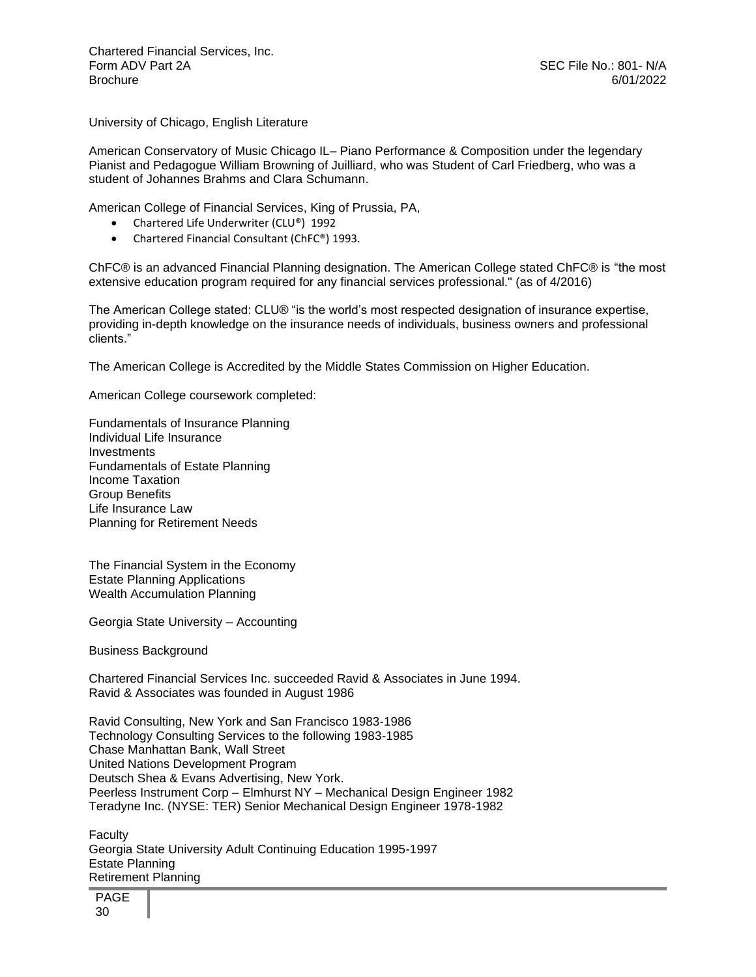University of Chicago, English Literature

American Conservatory of Music Chicago IL– Piano Performance & Composition under the legendary Pianist and Pedagogue William Browning of Juilliard, who was Student of Carl Friedberg, who was a student of Johannes Brahms and Clara Schumann.

American College of Financial Services, King of Prussia, PA,

- Chartered Life Underwriter (CLU®) 1992
- Chartered Financial Consultant (ChFC®) 1993.

ChFC® is an advanced Financial Planning designation. The American College stated ChFC® is "the most extensive education program required for any financial services professional." (as of 4/2016)

The American College stated: CLU® "is the world's most respected designation of insurance expertise, providing in-depth knowledge on the insurance needs of individuals, business owners and professional clients."

The American College is Accredited by the Middle States Commission on Higher Education.

American College coursework completed:

Fundamentals of Insurance Planning Individual Life Insurance Investments Fundamentals of Estate Planning Income Taxation Group Benefits Life Insurance Law Planning for Retirement Needs

The Financial System in the Economy Estate Planning Applications Wealth Accumulation Planning

Georgia State University – Accounting

Business Background

Chartered Financial Services Inc. succeeded Ravid & Associates in June 1994. Ravid & Associates was founded in August 1986

Ravid Consulting, New York and San Francisco 1983-1986 Technology Consulting Services to the following 1983-1985 Chase Manhattan Bank, Wall Street United Nations Development Program Deutsch Shea & Evans Advertising, New York. Peerless Instrument Corp – Elmhurst NY – Mechanical Design Engineer 1982 Teradyne Inc. (NYSE: TER) Senior Mechanical Design Engineer 1978-1982

**Faculty** Georgia State University Adult Continuing Education 1995-1997 Estate Planning Retirement Planning

PAGE 30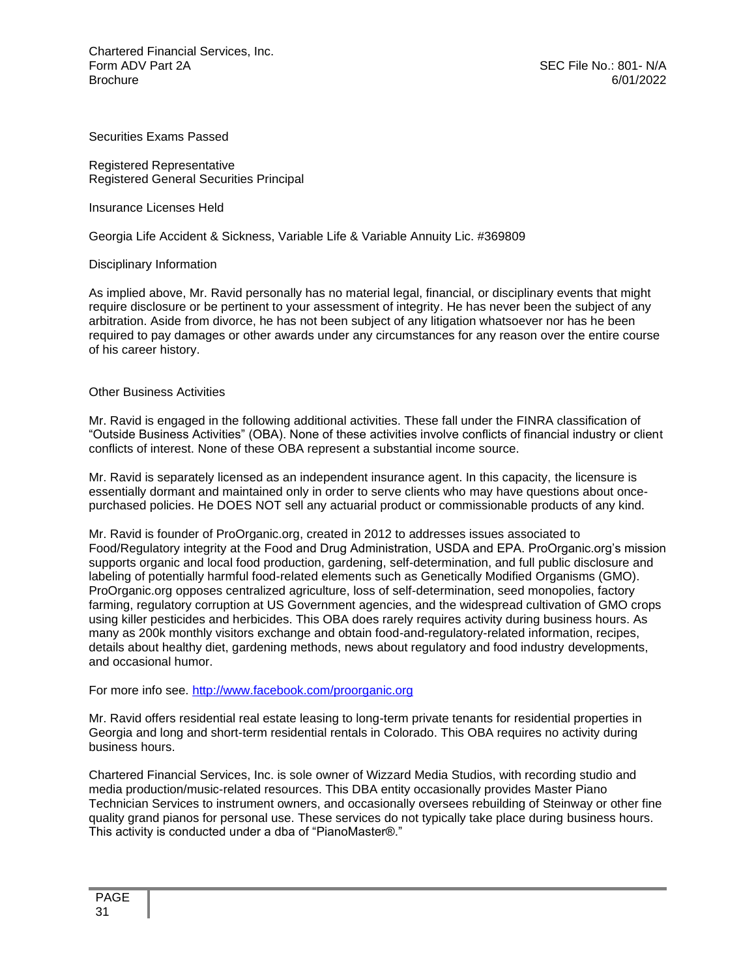Securities Exams Passed

Registered Representative Registered General Securities Principal

Insurance Licenses Held

Georgia Life Accident & Sickness, Variable Life & Variable Annuity Lic. #369809

Disciplinary Information

As implied above, Mr. Ravid personally has no material legal, financial, or disciplinary events that might require disclosure or be pertinent to your assessment of integrity. He has never been the subject of any arbitration. Aside from divorce, he has not been subject of any litigation whatsoever nor has he been required to pay damages or other awards under any circumstances for any reason over the entire course of his career history.

#### Other Business Activities

Mr. Ravid is engaged in the following additional activities. These fall under the FINRA classification of "Outside Business Activities" (OBA). None of these activities involve conflicts of financial industry or client conflicts of interest. None of these OBA represent a substantial income source.

Mr. Ravid is separately licensed as an independent insurance agent. In this capacity, the licensure is essentially dormant and maintained only in order to serve clients who may have questions about oncepurchased policies. He DOES NOT sell any actuarial product or commissionable products of any kind.

Mr. Ravid is founder of ProOrganic.org, created in 2012 to addresses issues associated to Food/Regulatory integrity at the Food and Drug Administration, USDA and EPA. ProOrganic.org's mission supports organic and local food production, gardening, self-determination, and full public disclosure and labeling of potentially harmful food-related elements such as Genetically Modified Organisms (GMO). ProOrganic.org opposes centralized agriculture, loss of self-determination, seed monopolies, factory farming, regulatory corruption at US Government agencies, and the widespread cultivation of GMO crops using killer pesticides and herbicides. This OBA does rarely requires activity during business hours. As many as 200k monthly visitors exchange and obtain food-and-regulatory-related information, recipes, details about healthy diet, gardening methods, news about regulatory and food industry developments, and occasional humor.

For more info see.<http://www.facebook.com/proorganic.org>

Mr. Ravid offers residential real estate leasing to long-term private tenants for residential properties in Georgia and long and short-term residential rentals in Colorado. This OBA requires no activity during business hours.

Chartered Financial Services, Inc. is sole owner of Wizzard Media Studios, with recording studio and media production/music-related resources. This DBA entity occasionally provides Master Piano Technician Services to instrument owners, and occasionally oversees rebuilding of Steinway or other fine quality grand pianos for personal use. These services do not typically take place during business hours. This activity is conducted under a dba of "PianoMaster®."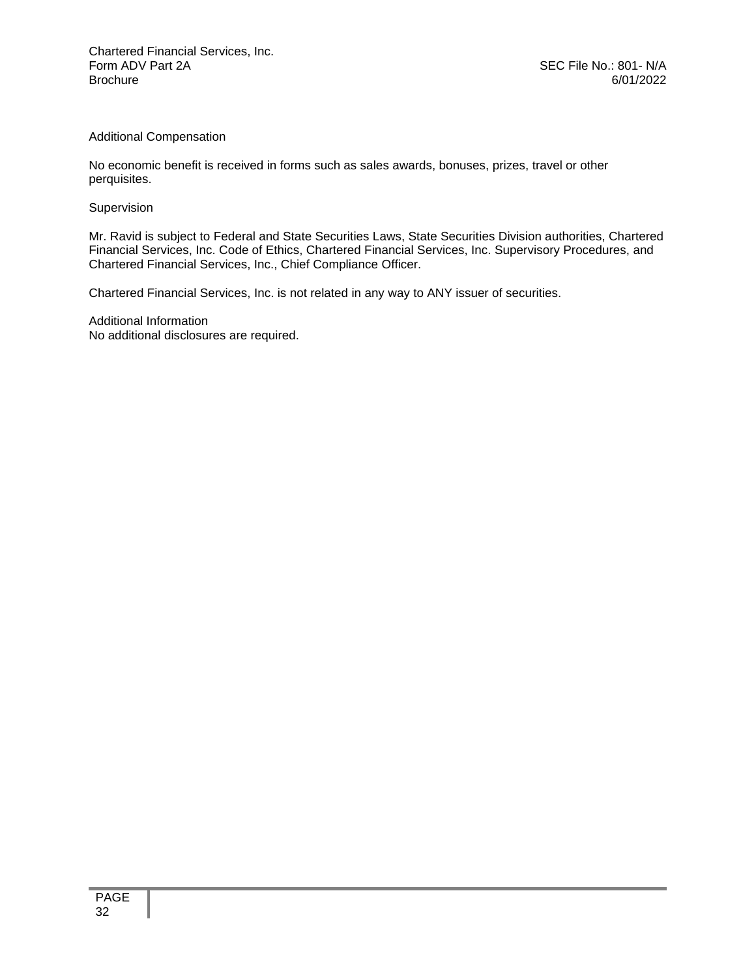#### Additional Compensation

No economic benefit is received in forms such as sales awards, bonuses, prizes, travel or other perquisites.

#### Supervision

Mr. Ravid is subject to Federal and State Securities Laws, State Securities Division authorities, Chartered Financial Services, Inc. Code of Ethics, Chartered Financial Services, Inc. Supervisory Procedures, and Chartered Financial Services, Inc., Chief Compliance Officer.

Chartered Financial Services, Inc. is not related in any way to ANY issuer of securities.

Additional Information No additional disclosures are required.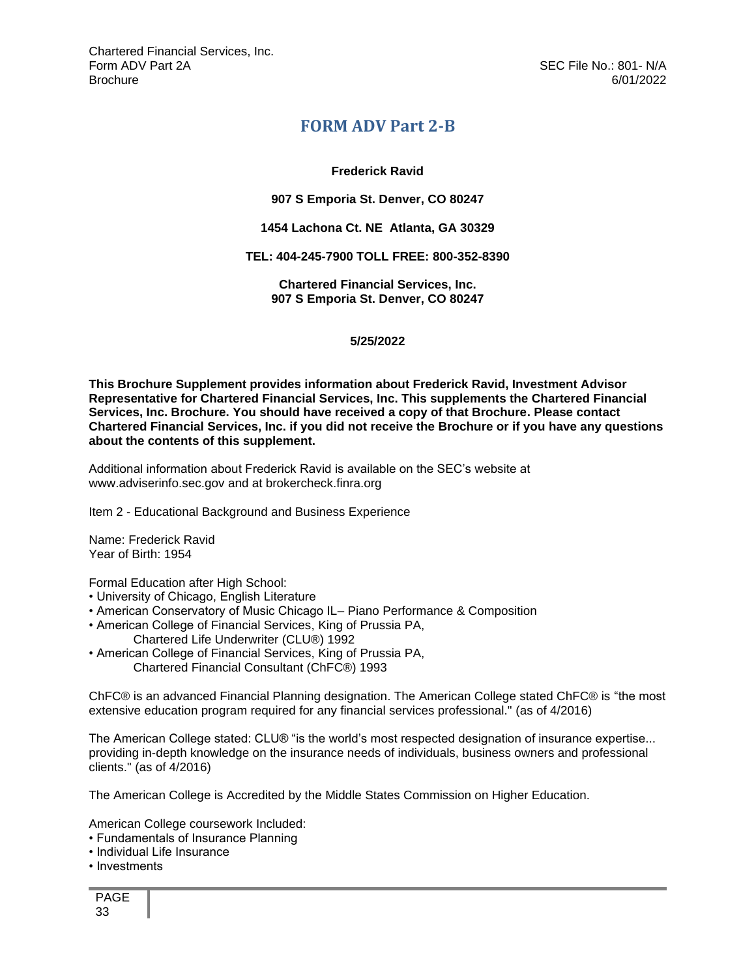### **FORM ADV Part 2-B**

#### **Frederick Ravid**

#### <span id="page-32-0"></span>**907 S Emporia St. Denver, CO 80247**

#### **1454 Lachona Ct. NE Atlanta, GA 30329**

#### **TEL: 404-245-7900 TOLL FREE: 800-352-8390**

**Chartered Financial Services, Inc. 907 S Emporia St. Denver, CO 80247**

#### **5/25/2022**

**This Brochure Supplement provides information about Frederick Ravid, Investment Advisor Representative for Chartered Financial Services, Inc. This supplements the Chartered Financial Services, Inc. Brochure. You should have received a copy of that Brochure. Please contact Chartered Financial Services, Inc. if you did not receive the Brochure or if you have any questions about the contents of this supplement.** 

Additional information about Frederick Ravid is available on the SEC's website at www.adviserinfo.sec.gov and at brokercheck.finra.org

Item 2 - Educational Background and Business Experience

Name: Frederick Ravid Year of Birth: 1954

Formal Education after High School:

- University of Chicago, English Literature
- American Conservatory of Music Chicago IL– Piano Performance & Composition
- American College of Financial Services, King of Prussia PA, Chartered Life Underwriter (CLU®) 1992
- American College of Financial Services, King of Prussia PA, Chartered Financial Consultant (ChFC®) 1993

ChFC® is an advanced Financial Planning designation. The American College stated ChFC® is "the most extensive education program required for any financial services professional." (as of 4/2016)

The American College stated: CLU® "is the world's most respected designation of insurance expertise... providing in-depth knowledge on the insurance needs of individuals, business owners and professional clients." (as of 4/2016)

The American College is Accredited by the Middle States Commission on Higher Education.

American College coursework Included:

- Fundamentals of Insurance Planning
- Individual Life Insurance
- Investments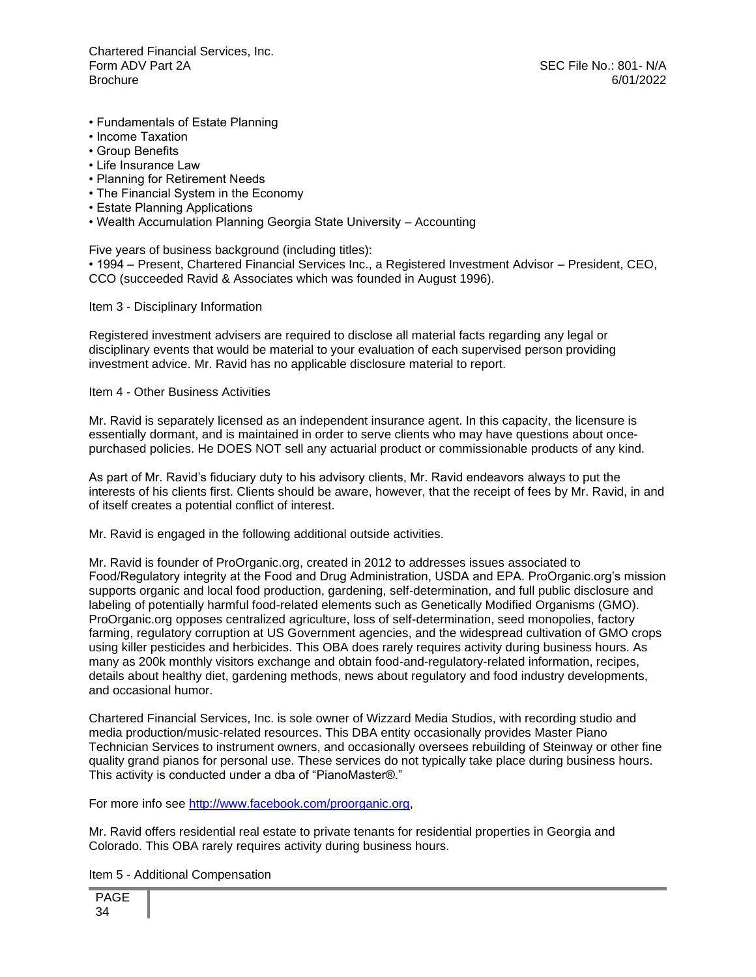- Fundamentals of Estate Planning
- Income Taxation
- Group Benefits
- Life Insurance Law
- Planning for Retirement Needs
- The Financial System in the Economy
- Estate Planning Applications
- Wealth Accumulation Planning Georgia State University Accounting

Five years of business background (including titles):

• 1994 – Present, Chartered Financial Services Inc., a Registered Investment Advisor – President, CEO, CCO (succeeded Ravid & Associates which was founded in August 1996).

Item 3 - Disciplinary Information

Registered investment advisers are required to disclose all material facts regarding any legal or disciplinary events that would be material to your evaluation of each supervised person providing investment advice. Mr. Ravid has no applicable disclosure material to report.

Item 4 - Other Business Activities

Mr. Ravid is separately licensed as an independent insurance agent. In this capacity, the licensure is essentially dormant, and is maintained in order to serve clients who may have questions about oncepurchased policies. He DOES NOT sell any actuarial product or commissionable products of any kind.

As part of Mr. Ravid's fiduciary duty to his advisory clients, Mr. Ravid endeavors always to put the interests of his clients first. Clients should be aware, however, that the receipt of fees by Mr. Ravid, in and of itself creates a potential conflict of interest.

Mr. Ravid is engaged in the following additional outside activities.

Mr. Ravid is founder of ProOrganic.org, created in 2012 to addresses issues associated to Food/Regulatory integrity at the Food and Drug Administration, USDA and EPA. ProOrganic.org's mission supports organic and local food production, gardening, self-determination, and full public disclosure and labeling of potentially harmful food-related elements such as Genetically Modified Organisms (GMO). ProOrganic.org opposes centralized agriculture, loss of self-determination, seed monopolies, factory farming, regulatory corruption at US Government agencies, and the widespread cultivation of GMO crops using killer pesticides and herbicides. This OBA does rarely requires activity during business hours. As many as 200k monthly visitors exchange and obtain food-and-regulatory-related information, recipes, details about healthy diet, gardening methods, news about regulatory and food industry developments, and occasional humor.

Chartered Financial Services, Inc. is sole owner of Wizzard Media Studios, with recording studio and media production/music-related resources. This DBA entity occasionally provides Master Piano Technician Services to instrument owners, and occasionally oversees rebuilding of Steinway or other fine quality grand pianos for personal use. These services do not typically take place during business hours. This activity is conducted under a dba of "PianoMaster®."

For more info see [http://www.facebook.com/proorganic.org,](http://www.facebook.com/proorganic.org)

Mr. Ravid offers residential real estate to private tenants for residential properties in Georgia and Colorado. This OBA rarely requires activity during business hours.

Item 5 - Additional Compensation